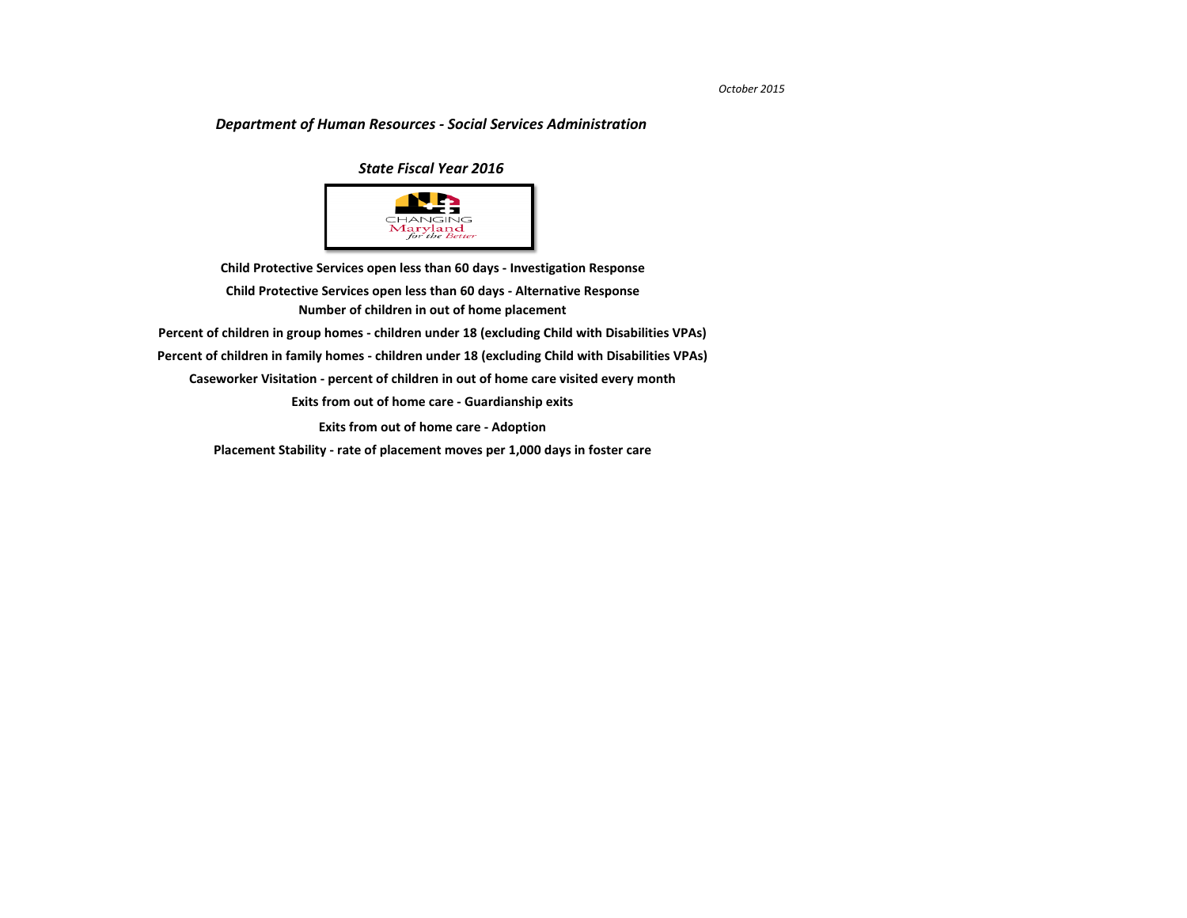**[Placement Stability - rate of placement moves per 1,000 days in foster care](#page-10-0)**

## *Department of Human Resources - Social Services Administration*

**[Caseworker Visitation - percent of children in out of home care visited every month](#page-7-0) [Exits from out of home care - Guardianship exits](#page-8-0) [Exits from out of home care - Adoption](#page-9-0) [Child Protective Services open less than 60 days - Investigation Response](#page-2-0) [Number of children in out of home placement](#page-4-0) [Child Protective Services open less than 60 days - Alternative Response](#page-3-0) [Percent of children in group homes - children under 18 \(excluding Child with Disabilities VPAs\)](#page-5-0) [Percent of children in family homes - children under 18 \(excluding Child with Disabilities VPAs\)](#page-6-0)**

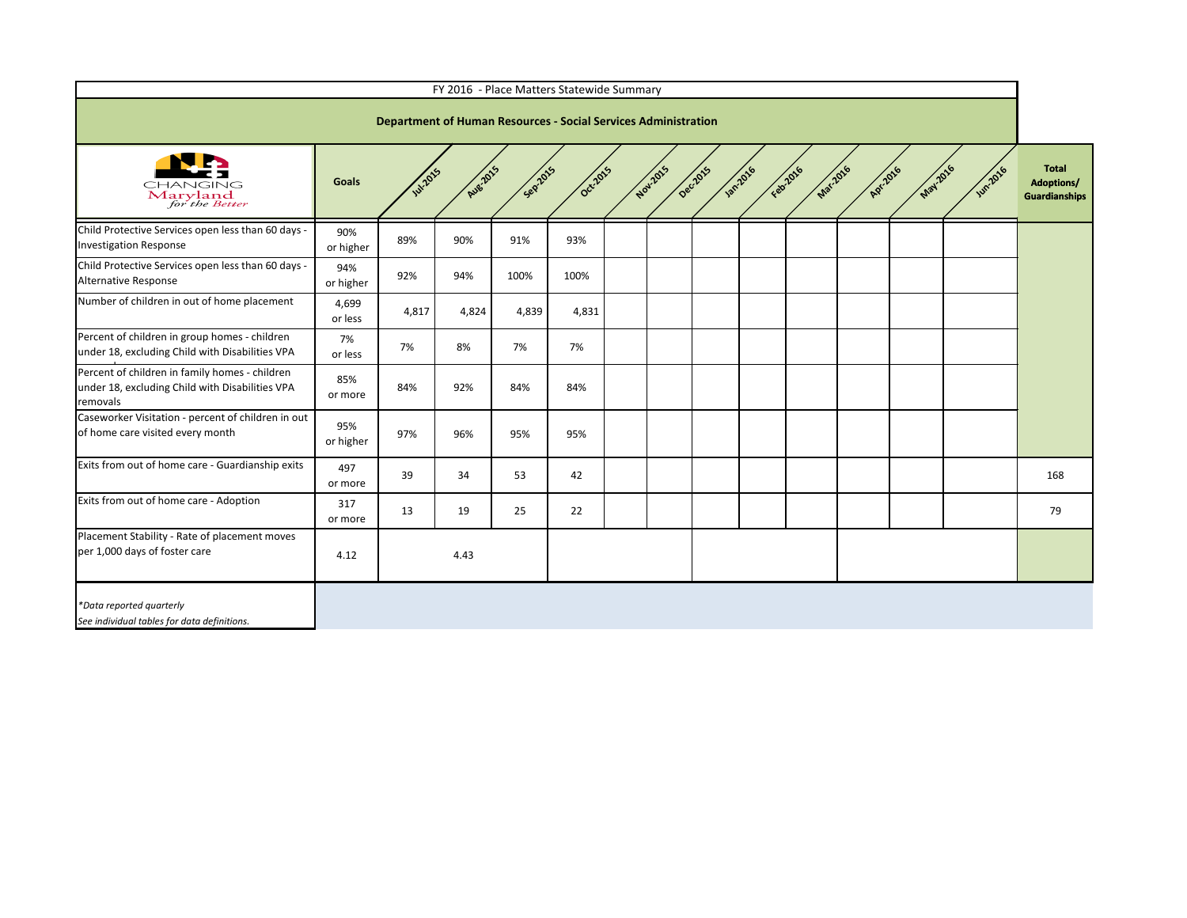

|                                                                                                               |                  |               | FY 2016 - Place Matters Statewide Summary                             |         |          |                      |                  |                      |        |          |               |                                    |
|---------------------------------------------------------------------------------------------------------------|------------------|---------------|-----------------------------------------------------------------------|---------|----------|----------------------|------------------|----------------------|--------|----------|---------------|------------------------------------|
|                                                                                                               |                  |               | <b>Department of Human Resources - Social Services Administration</b> |         |          |                      |                  |                      |        |          |               |                                    |
| CHANGING<br>Maryland<br>for the Better                                                                        | <b>Goals</b>     | <b>W.2015</b> | Au82015                                                               | Seprans | Oct-2015 | Nov-2015<br>Dec-2015 | <b>1201-2016</b> | Mar2016<br>Feat 2016 | A.2016 | May 2016 | <b>1</b> 2016 | <b>Tota</b><br>Adoptio<br>Guardian |
| Child Protective Services open less than 60 days -<br><b>Investigation Response</b>                           | 90%<br>or higher | 89%           | 90%                                                                   | 91%     | 93%      |                      |                  |                      |        |          |               |                                    |
| Child Protective Services open less than 60 days -<br>Alternative Response                                    | 94%<br>or higher | 92%           | 94%                                                                   | 100%    | 100%     |                      |                  |                      |        |          |               |                                    |
| Number of children in out of home placement                                                                   | 4,699<br>or less | 4,817         | 4,824                                                                 | 4,839   | 4,831    |                      |                  |                      |        |          |               |                                    |
| Percent of children in group homes - children<br>under 18, excluding Child with Disabilities VPA              | 7%<br>or less    | 7%            | 8%                                                                    | 7%      | 7%       |                      |                  |                      |        |          |               |                                    |
| Percent of children in family homes - children<br>under 18, excluding Child with Disabilities VPA<br>removals | 85%<br>or more   | 84%           | 92%                                                                   | 84%     | 84%      |                      |                  |                      |        |          |               |                                    |
| Caseworker Visitation - percent of children in out<br>of home care visited every month                        | 95%<br>or higher | 97%           | 96%                                                                   | 95%     | 95%      |                      |                  |                      |        |          |               |                                    |
| Exits from out of home care - Guardianship exits                                                              | 497<br>or more   | 39            | 34                                                                    | 53      | 42       |                      |                  |                      |        |          |               | 168                                |
| Exits from out of home care - Adoption                                                                        | 317<br>or more   | 13            | 19                                                                    | 25      | 22       |                      |                  |                      |        |          |               | 79                                 |
| Placement Stability - Rate of placement moves<br>per 1,000 days of foster care                                | 4.12             |               | 4.43                                                                  |         |          |                      |                  |                      |        |          |               |                                    |
| *Data reported quarterly<br>See individual tables for data definitions.                                       |                  |               |                                                                       |         |          |                      |                  |                      |        |          |               |                                    |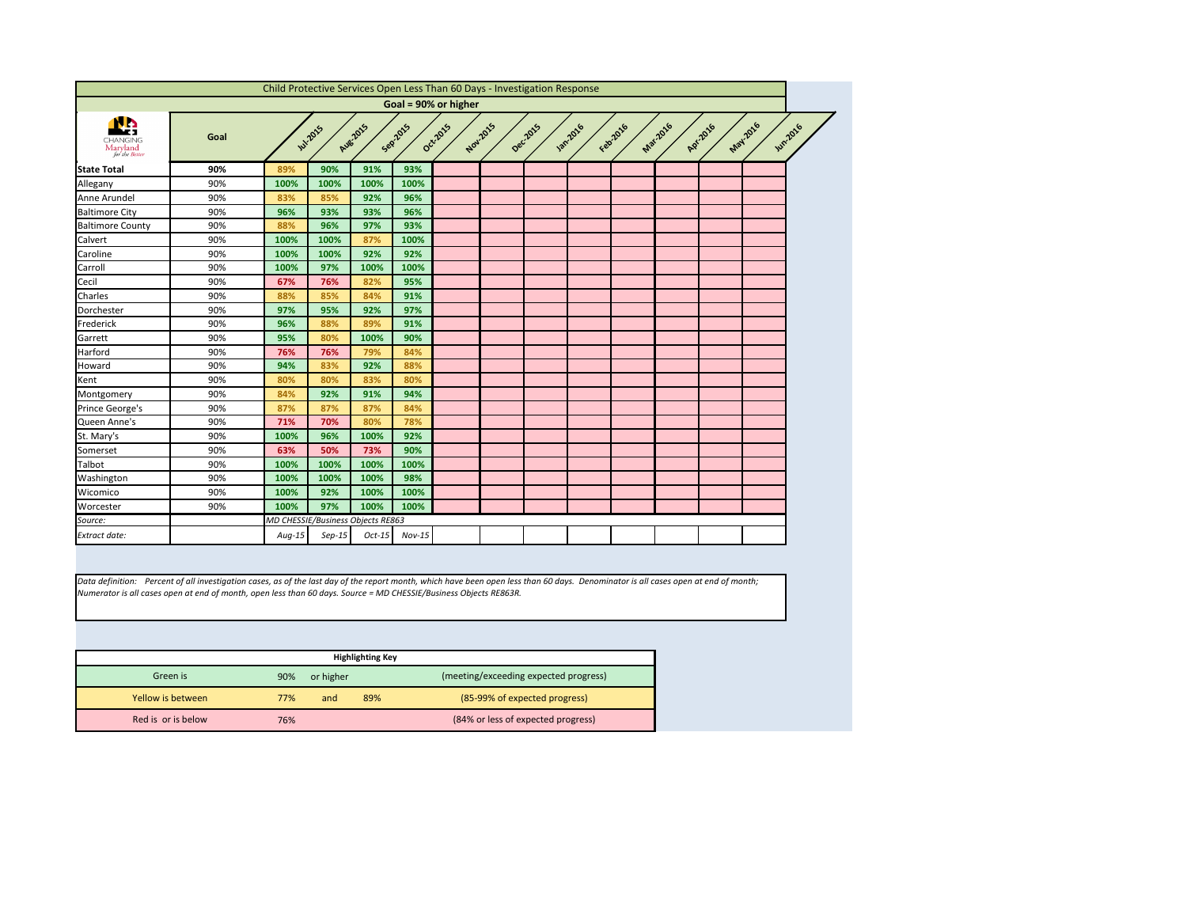<span id="page-2-0"></span>

|                                                            |      |          |                                   |                 |          | Child Protective Services Open Less Than 60 Days - Investigation Response |          |          |                |          |                 |                      |                |
|------------------------------------------------------------|------|----------|-----------------------------------|-----------------|----------|---------------------------------------------------------------------------|----------|----------|----------------|----------|-----------------|----------------------|----------------|
|                                                            |      |          |                                   |                 |          | Goal = 90% or higher                                                      |          |          |                |          |                 |                      |                |
| <u>sh</u><br><b>CHANGING</b><br>Maryland<br>for the Better | Goal |          | <b>Jul-2015</b>                   | <b>Aug-2015</b> | Sep2015  | Oct-2015                                                                  | Nov.2015 | Dec.2015 | <b>1201016</b> | Febr2016 | <b>Mar.2016</b> | May 2016<br>Apr.2016 | <b>Jun2016</b> |
| <b>State Total</b>                                         | 90%  | 89%      | 90%                               | 91%             | 93%      |                                                                           |          |          |                |          |                 |                      |                |
| Allegany                                                   | 90%  | 100%     | 100%                              | 100%            | 100%     |                                                                           |          |          |                |          |                 |                      |                |
| Anne Arundel                                               | 90%  | 83%      | 85%                               | 92%             | 96%      |                                                                           |          |          |                |          |                 |                      |                |
| <b>Baltimore City</b>                                      | 90%  | 96%      | 93%                               | 93%             | 96%      |                                                                           |          |          |                |          |                 |                      |                |
| <b>Baltimore County</b>                                    | 90%  | 88%      | 96%                               | 97%             | 93%      |                                                                           |          |          |                |          |                 |                      |                |
| Calvert                                                    | 90%  | 100%     | 100%                              | 87%             | 100%     |                                                                           |          |          |                |          |                 |                      |                |
| Caroline                                                   | 90%  | 100%     | 100%                              | 92%             | 92%      |                                                                           |          |          |                |          |                 |                      |                |
| Carroll                                                    | 90%  | 100%     | 97%                               | 100%            | 100%     |                                                                           |          |          |                |          |                 |                      |                |
| Cecil                                                      | 90%  | 67%      | 76%                               | 82%             | 95%      |                                                                           |          |          |                |          |                 |                      |                |
| Charles                                                    | 90%  | 88%      | 85%                               | 84%             | 91%      |                                                                           |          |          |                |          |                 |                      |                |
| Dorchester                                                 | 90%  | 97%      | 95%                               | 92%             | 97%      |                                                                           |          |          |                |          |                 |                      |                |
| Frederick                                                  | 90%  | 96%      | 88%                               | 89%             | 91%      |                                                                           |          |          |                |          |                 |                      |                |
| Garrett                                                    | 90%  | 95%      | 80%                               | 100%            | 90%      |                                                                           |          |          |                |          |                 |                      |                |
| <b>Harford</b>                                             | 90%  | 76%      | 76%                               | 79%             | 84%      |                                                                           |          |          |                |          |                 |                      |                |
| Howard                                                     | 90%  | 94%      | 83%                               | 92%             | 88%      |                                                                           |          |          |                |          |                 |                      |                |
| Kent                                                       | 90%  | 80%      | 80%                               | 83%             | 80%      |                                                                           |          |          |                |          |                 |                      |                |
| Montgomery                                                 | 90%  | 84%      | 92%                               | 91%             | 94%      |                                                                           |          |          |                |          |                 |                      |                |
| Prince George's                                            | 90%  | 87%      | 87%                               | 87%             | 84%      |                                                                           |          |          |                |          |                 |                      |                |
| Queen Anne's                                               | 90%  | 71%      | 70%                               | 80%             | 78%      |                                                                           |          |          |                |          |                 |                      |                |
| St. Mary's                                                 | 90%  | 100%     | 96%                               | 100%            | 92%      |                                                                           |          |          |                |          |                 |                      |                |
| Somerset                                                   | 90%  | 63%      | 50%                               | 73%             | 90%      |                                                                           |          |          |                |          |                 |                      |                |
| Talbot                                                     | 90%  | 100%     | 100%                              | 100%            | 100%     |                                                                           |          |          |                |          |                 |                      |                |
| Washington                                                 | 90%  | 100%     | 100%                              | 100%            | 98%      |                                                                           |          |          |                |          |                 |                      |                |
| Wicomico                                                   | 90%  | 100%     | 92%                               | 100%            | 100%     |                                                                           |          |          |                |          |                 |                      |                |
| Worcester                                                  | 90%  | 100%     | 97%                               | 100%            | 100%     |                                                                           |          |          |                |          |                 |                      |                |
| Source:                                                    |      |          | MD CHESSIE/Business Objects RE863 |                 |          |                                                                           |          |          |                |          |                 |                      |                |
| <b>Extract date:</b>                                       |      | $Aug-15$ | $Sep-15$                          | $Oct-15$        | $Nov-15$ |                                                                           |          |          |                |          |                 |                      |                |

|                    |     |           | <b>Highlighting Key</b> |                                       |
|--------------------|-----|-----------|-------------------------|---------------------------------------|
| Green is           | 90% | or higher |                         | (meeting/exceeding expected progress) |
| Yellow is between  | 77% | and       | 89%                     | (85-99% of expected progress)         |
| Red is or is below | 76% |           |                         | (84% or less of expected progress)    |



*Data definition: Percent of all investigation cases, as of the last day of the report month, which have been open less than 60 days. Denominator is all cases open at end of month; Numerator is all cases open at end of month, open less than 60 days. Source = MD CHESSIE/Business Objects RE863R.*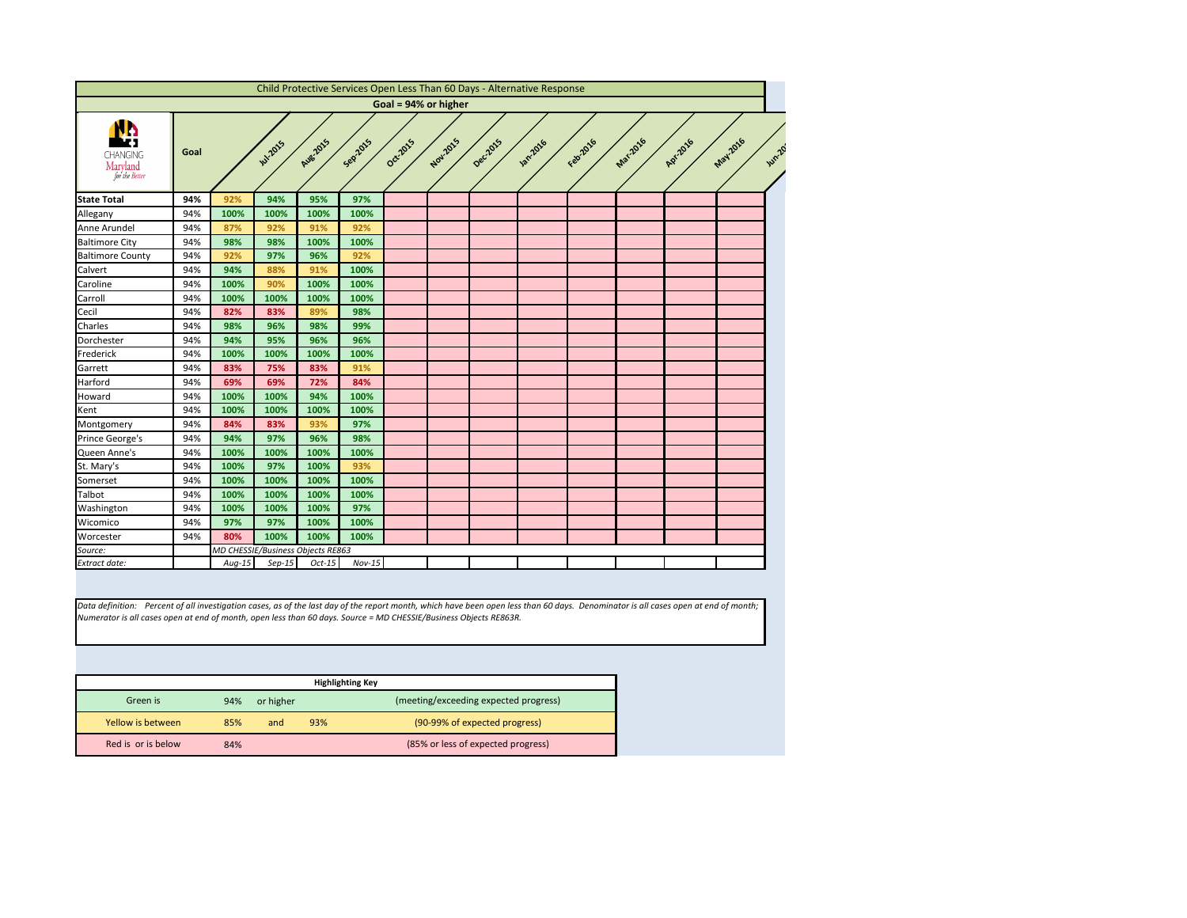<span id="page-3-0"></span>

|                                               |      |          |                                   |                 |          |                      |          |          | Child Protective Services Open Less Than 60 Days - Alternative Response |          |                 |          |         |
|-----------------------------------------------|------|----------|-----------------------------------|-----------------|----------|----------------------|----------|----------|-------------------------------------------------------------------------|----------|-----------------|----------|---------|
|                                               |      |          |                                   |                 |          | Goal = 94% or higher |          |          |                                                                         |          |                 |          |         |
| <b>CHANGING</b><br>Maryland<br>for the Better | Goal |          | <b>141-2015</b>                   | <b>Aug.2015</b> | Sep2015  | Oct2015              | Nov.2015 | Dec.2015 | <b>130.2016</b>                                                         | Febricio | <b>Mar.2016</b> | Apr.2016 | May2016 |
| <b>State Total</b>                            | 94%  | 92%      | 94%                               | 95%             | 97%      |                      |          |          |                                                                         |          |                 |          |         |
| Allegany                                      | 94%  | 100%     | 100%                              | 100%            | 100%     |                      |          |          |                                                                         |          |                 |          |         |
| Anne Arundel                                  | 94%  | 87%      | 92%                               | 91%             | 92%      |                      |          |          |                                                                         |          |                 |          |         |
| <b>Baltimore City</b>                         | 94%  | 98%      | 98%                               | 100%            | 100%     |                      |          |          |                                                                         |          |                 |          |         |
| <b>Baltimore County</b>                       | 94%  | 92%      | 97%                               | 96%             | 92%      |                      |          |          |                                                                         |          |                 |          |         |
| Calvert                                       | 94%  | 94%      | 88%                               | 91%             | 100%     |                      |          |          |                                                                         |          |                 |          |         |
| Caroline                                      | 94%  | 100%     | 90%                               | 100%            | 100%     |                      |          |          |                                                                         |          |                 |          |         |
| Carroll                                       | 94%  | 100%     | 100%                              | 100%            | 100%     |                      |          |          |                                                                         |          |                 |          |         |
| Cecil                                         | 94%  | 82%      | 83%                               | 89%             | 98%      |                      |          |          |                                                                         |          |                 |          |         |
| Charles                                       | 94%  | 98%      | 96%                               | 98%             | 99%      |                      |          |          |                                                                         |          |                 |          |         |
| Dorchester                                    | 94%  | 94%      | 95%                               | 96%             | 96%      |                      |          |          |                                                                         |          |                 |          |         |
| Frederick                                     | 94%  | 100%     | 100%                              | 100%            | 100%     |                      |          |          |                                                                         |          |                 |          |         |
| Garrett                                       | 94%  | 83%      | 75%                               | 83%             | 91%      |                      |          |          |                                                                         |          |                 |          |         |
| Harford                                       | 94%  | 69%      | 69%                               | 72%             | 84%      |                      |          |          |                                                                         |          |                 |          |         |
| Howard                                        | 94%  | 100%     | 100%                              | 94%             | 100%     |                      |          |          |                                                                         |          |                 |          |         |
| Kent                                          | 94%  | 100%     | 100%                              | 100%            | 100%     |                      |          |          |                                                                         |          |                 |          |         |
| Montgomery                                    | 94%  | 84%      | 83%                               | 93%             | 97%      |                      |          |          |                                                                         |          |                 |          |         |
| Prince George's                               | 94%  | 94%      | 97%                               | 96%             | 98%      |                      |          |          |                                                                         |          |                 |          |         |
| Queen Anne's                                  | 94%  | 100%     | 100%                              | 100%            | 100%     |                      |          |          |                                                                         |          |                 |          |         |
| St. Mary's                                    | 94%  | 100%     | 97%                               | 100%            | 93%      |                      |          |          |                                                                         |          |                 |          |         |
| Somerset                                      | 94%  | 100%     | 100%                              | 100%            | 100%     |                      |          |          |                                                                         |          |                 |          |         |
| <b>Talbot</b>                                 | 94%  | 100%     | 100%                              | 100%            | 100%     |                      |          |          |                                                                         |          |                 |          |         |
| Washington                                    | 94%  | 100%     | 100%                              | 100%            | 97%      |                      |          |          |                                                                         |          |                 |          |         |
| Wicomico                                      | 94%  | 97%      | 97%                               | 100%            | 100%     |                      |          |          |                                                                         |          |                 |          |         |
| Worcester                                     | 94%  | 80%      | 100%                              | 100%            | 100%     |                      |          |          |                                                                         |          |                 |          |         |
|                                               |      |          | MD CHESSIE/Business Objects RE863 |                 |          |                      |          |          |                                                                         |          |                 |          |         |
| Source:<br>Extract date:                      |      | $Aug-15$ | $Sep-15$                          | $Oct-15$        | $Nov-15$ |                      |          |          |                                                                         |          |                 |          |         |

|                    |     |           | <b>Highlighting Key</b> |                                       |
|--------------------|-----|-----------|-------------------------|---------------------------------------|
| Green is           | 94% | or higher |                         | (meeting/exceeding expected progress) |
| Yellow is between  | 85% | and       | 93%                     | (90-99% of expected progress)         |
| Red is or is below | 84% |           |                         | (85% or less of expected progress)    |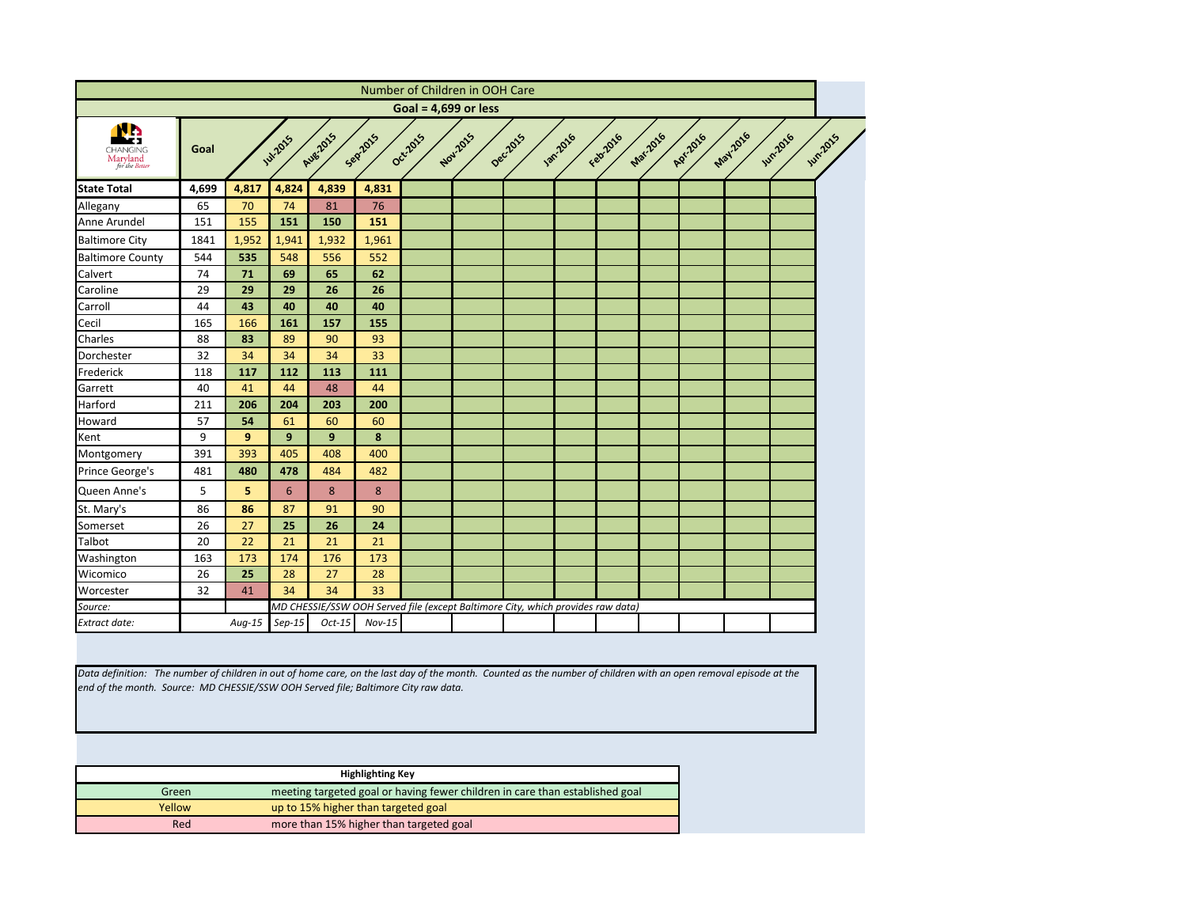<span id="page-4-0"></span>

|                                        |       |                |                 |          |          | Number of Children in OOH Care |          |                                                                                 |                 |          |          |          |         |                                   |
|----------------------------------------|-------|----------------|-----------------|----------|----------|--------------------------------|----------|---------------------------------------------------------------------------------|-----------------|----------|----------|----------|---------|-----------------------------------|
|                                        |       |                |                 |          |          | Goal = $4,699$ or less         |          |                                                                                 |                 |          |          |          |         |                                   |
| CHANGING<br>Maryland<br>for the Better | Goal  |                | <b>Jul-2015</b> | Aug 2015 | Sep2015  | Oct-2015                       | Nov.2015 | Deczors                                                                         | <b>Jan-2016</b> | Febr2016 | Mar.2016 | A.P.1016 | May2016 | <b>Jun-2016</b><br><b>Jun2015</b> |
| <b>State Total</b>                     | 4,699 | 4,817          | 4,824           | 4,839    | 4,831    |                                |          |                                                                                 |                 |          |          |          |         |                                   |
| Allegany                               | 65    | 70             | 74              | 81       | 76       |                                |          |                                                                                 |                 |          |          |          |         |                                   |
| Anne Arundel                           | 151   | 155            | 151             | 150      | 151      |                                |          |                                                                                 |                 |          |          |          |         |                                   |
| <b>Baltimore City</b>                  | 1841  | 1,952          | 1,941           | 1,932    | 1,961    |                                |          |                                                                                 |                 |          |          |          |         |                                   |
| <b>Baltimore County</b>                | 544   | 535            | 548             | 556      | 552      |                                |          |                                                                                 |                 |          |          |          |         |                                   |
| Calvert                                | 74    | 71             | 69              | 65       | 62       |                                |          |                                                                                 |                 |          |          |          |         |                                   |
| Caroline                               | 29    | 29             | 29              | 26       | 26       |                                |          |                                                                                 |                 |          |          |          |         |                                   |
| Carroll                                | 44    | 43             | 40              | 40       | 40       |                                |          |                                                                                 |                 |          |          |          |         |                                   |
| Cecil                                  | 165   | 166            | 161             | 157      | 155      |                                |          |                                                                                 |                 |          |          |          |         |                                   |
| Charles                                | 88    | 83             | 89              | 90       | 93       |                                |          |                                                                                 |                 |          |          |          |         |                                   |
| Dorchester                             | 32    | 34             | 34              | 34       | 33       |                                |          |                                                                                 |                 |          |          |          |         |                                   |
| Frederick                              | 118   | 117            | 112             | 113      | 111      |                                |          |                                                                                 |                 |          |          |          |         |                                   |
| Garrett                                | 40    | 41             | 44              | 48       | 44       |                                |          |                                                                                 |                 |          |          |          |         |                                   |
| Harford                                | 211   | 206            | 204             | 203      | 200      |                                |          |                                                                                 |                 |          |          |          |         |                                   |
| Howard                                 | 57    | 54             | 61              | 60       | 60       |                                |          |                                                                                 |                 |          |          |          |         |                                   |
| Kent                                   | 9     | 9 <sup>°</sup> | 9               | 9        | 8        |                                |          |                                                                                 |                 |          |          |          |         |                                   |
| Montgomery                             | 391   | 393            | 405             | 408      | 400      |                                |          |                                                                                 |                 |          |          |          |         |                                   |
| Prince George's                        | 481   | 480            | 478             | 484      | 482      |                                |          |                                                                                 |                 |          |          |          |         |                                   |
| Queen Anne's                           | 5     | 5              | $6\phantom{1}6$ | 8        | $\bf 8$  |                                |          |                                                                                 |                 |          |          |          |         |                                   |
| St. Mary's                             | 86    | 86             | 87              | 91       | 90       |                                |          |                                                                                 |                 |          |          |          |         |                                   |
| Somerset                               | 26    | 27             | 25              | 26       | 24       |                                |          |                                                                                 |                 |          |          |          |         |                                   |
| Talbot                                 | 20    | 22             | 21              | 21       | 21       |                                |          |                                                                                 |                 |          |          |          |         |                                   |
| Washington                             | 163   | 173            | 174             | 176      | 173      |                                |          |                                                                                 |                 |          |          |          |         |                                   |
| Wicomico                               | 26    | 25             | 28              | 27       | 28       |                                |          |                                                                                 |                 |          |          |          |         |                                   |
| Worcester                              | 32    | 41             | 34              | 34       | 33       |                                |          |                                                                                 |                 |          |          |          |         |                                   |
| Source:                                |       |                |                 |          |          |                                |          | MD CHESSIE/SSW OOH Served file (except Baltimore City, which provides raw data) |                 |          |          |          |         |                                   |
|                                        |       | $Aug-15$       | $Sep-15$        | $Oct-15$ | $Nov-15$ |                                |          |                                                                                 |                 |          |          |          |         |                                   |

|        | <b>Highlighting Key</b>                                                      |
|--------|------------------------------------------------------------------------------|
| Green  | meeting targeted goal or having fewer children in care than established goal |
| Yellow | up to 15% higher than targeted goal                                          |
| Red    | more than 15% higher than targeted goal                                      |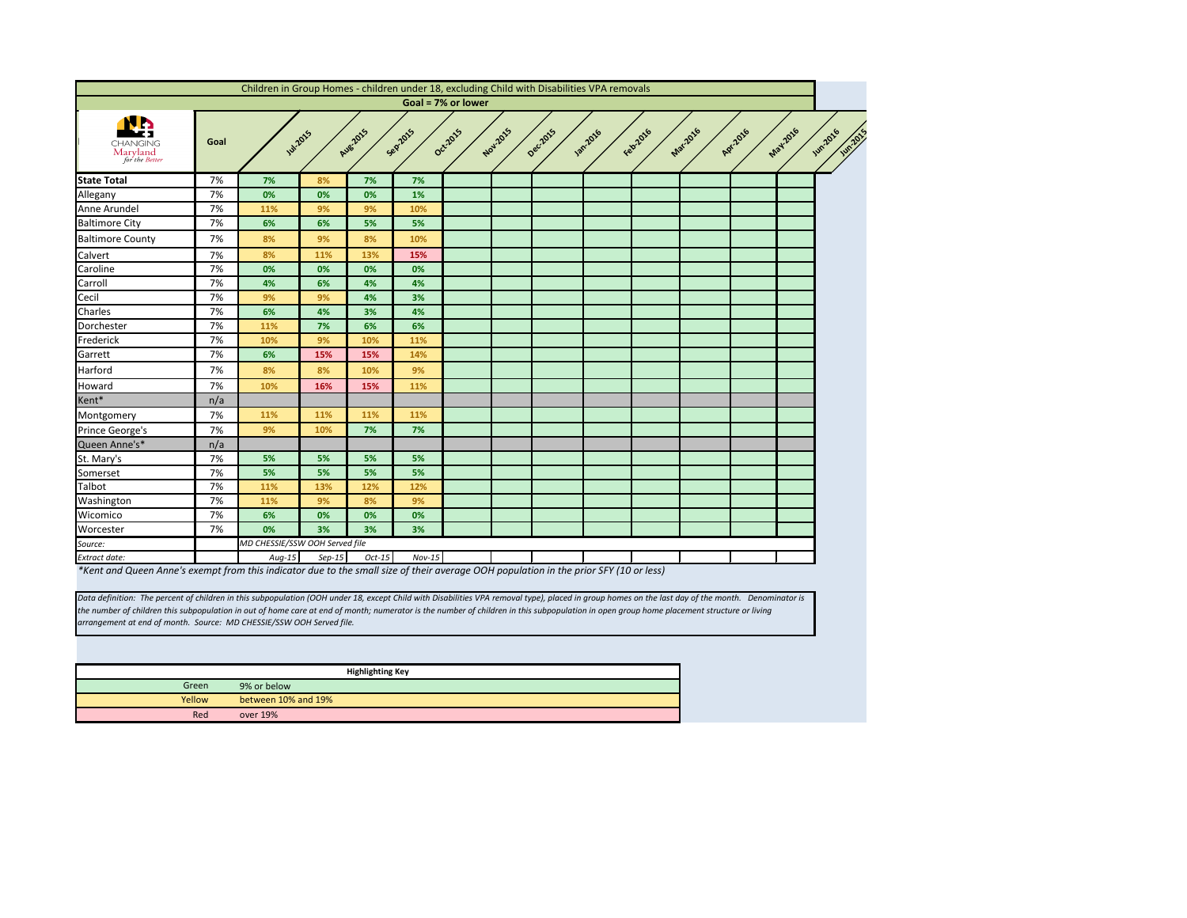

<span id="page-5-0"></span>

|                                                                                                                                                         |      | Children in Group Homes - children under 18, excluding Child with Disabilities VPA removals |          |                 |          |                    |          |          |                |         |          |          |               |
|---------------------------------------------------------------------------------------------------------------------------------------------------------|------|---------------------------------------------------------------------------------------------|----------|-----------------|----------|--------------------|----------|----------|----------------|---------|----------|----------|---------------|
|                                                                                                                                                         |      |                                                                                             |          |                 |          | Goal = 7% or lower |          |          |                |         |          |          |               |
| <b>CHANGING</b><br>Maryland<br>for the Better                                                                                                           | Goal | <b>Jul-2015</b>                                                                             |          | <b>Aug 2015</b> | Sep2015  | Oct-2015           | Nov.2015 | Dec.2015 | <b>1872016</b> | Feb2016 | Mar-2016 | Apr.2016 | May-2016<br>ゞ |
| <b>State Total</b>                                                                                                                                      | 7%   | 7%                                                                                          | 8%       | 7%              | 7%       |                    |          |          |                |         |          |          |               |
| Allegany                                                                                                                                                | 7%   | 0%                                                                                          | 0%       | 0%              | 1%       |                    |          |          |                |         |          |          |               |
| Anne Arundel                                                                                                                                            | 7%   | 11%                                                                                         | 9%       | 9%              | 10%      |                    |          |          |                |         |          |          |               |
| <b>Baltimore City</b>                                                                                                                                   | 7%   | 6%                                                                                          | 6%       | 5%              | 5%       |                    |          |          |                |         |          |          |               |
| <b>Baltimore County</b>                                                                                                                                 | 7%   | 8%                                                                                          | 9%       | 8%              | 10%      |                    |          |          |                |         |          |          |               |
| Calvert                                                                                                                                                 | 7%   | 8%                                                                                          | 11%      | 13%             | 15%      |                    |          |          |                |         |          |          |               |
| Caroline                                                                                                                                                | 7%   | 0%                                                                                          | 0%       | 0%              | 0%       |                    |          |          |                |         |          |          |               |
| Carroll                                                                                                                                                 | 7%   | 4%                                                                                          | 6%       | 4%              | 4%       |                    |          |          |                |         |          |          |               |
| Cecil                                                                                                                                                   | 7%   | 9%                                                                                          | 9%       | 4%              | 3%       |                    |          |          |                |         |          |          |               |
| Charles                                                                                                                                                 | 7%   | 6%                                                                                          | 4%       | 3%              | 4%       |                    |          |          |                |         |          |          |               |
| Dorchester                                                                                                                                              | 7%   | 11%                                                                                         | 7%       | 6%              | 6%       |                    |          |          |                |         |          |          |               |
| Frederick                                                                                                                                               | 7%   | 10%                                                                                         | 9%       | 10%             | 11%      |                    |          |          |                |         |          |          |               |
| Garrett                                                                                                                                                 | 7%   | 6%                                                                                          | 15%      | 15%             | 14%      |                    |          |          |                |         |          |          |               |
| Harford                                                                                                                                                 | 7%   | 8%                                                                                          | 8%       | 10%             | 9%       |                    |          |          |                |         |          |          |               |
| Howard                                                                                                                                                  | 7%   | 10%                                                                                         | 16%      | 15%             | 11%      |                    |          |          |                |         |          |          |               |
| Kent*                                                                                                                                                   | n/a  |                                                                                             |          |                 |          |                    |          |          |                |         |          |          |               |
| Montgomery                                                                                                                                              | 7%   | 11%                                                                                         | 11%      | 11%             | 11%      |                    |          |          |                |         |          |          |               |
| Prince George's                                                                                                                                         | 7%   | 9%                                                                                          | 10%      | 7%              | 7%       |                    |          |          |                |         |          |          |               |
| Queen Anne's*                                                                                                                                           | n/a  |                                                                                             |          |                 |          |                    |          |          |                |         |          |          |               |
| St. Mary's                                                                                                                                              | 7%   | 5%                                                                                          | 5%       | 5%              | 5%       |                    |          |          |                |         |          |          |               |
| Somerset                                                                                                                                                | 7%   | 5%                                                                                          | 5%       | 5%              | 5%       |                    |          |          |                |         |          |          |               |
| Talbot                                                                                                                                                  | 7%   | 11%                                                                                         | 13%      | 12%             | 12%      |                    |          |          |                |         |          |          |               |
| Washington                                                                                                                                              | 7%   | 11%                                                                                         | 9%       | 8%              | 9%       |                    |          |          |                |         |          |          |               |
| Wicomico                                                                                                                                                | 7%   | 6%                                                                                          | 0%       | 0%              | 0%       |                    |          |          |                |         |          |          |               |
| Worcester                                                                                                                                               | 7%   | 0%                                                                                          | 3%       | 3%              | 3%       |                    |          |          |                |         |          |          |               |
| Source:                                                                                                                                                 |      | MD CHESSIE/SSW OOH Served file                                                              |          |                 |          |                    |          |          |                |         |          |          |               |
| Extract date:<br>*Kept and Queen Annals quepert from this indicator due to the small size of their quereas QQU pequlation in the prior CEV (10 or local |      | $Aug-15$                                                                                    | $Sep-15$ | $Oct-15$        | $Nov-15$ |                    |          |          |                |         |          |          |               |

*\*Kent and Queen Anne's exempt from this indicator due to the small size of their average OOH population in the prior SFY (10 or less)*

|        | <b>Highlighting Key</b> |
|--------|-------------------------|
| Green  | 9% or below             |
| Yellow | between 10% and 19%     |
| Red    | over 19%                |

*Data definition: The percent of children in this subpopulation (OOH under 18, except Child with Disabilities VPA removal type), placed in group homes on the last day of the month. Denominator is the number of children this subpopulation in out of home care at end of month; numerator is the number of children in this subpopulation in open group home placement structure or living arrangement at end of month. Source: MD CHESSIE/SSW OOH Served file.*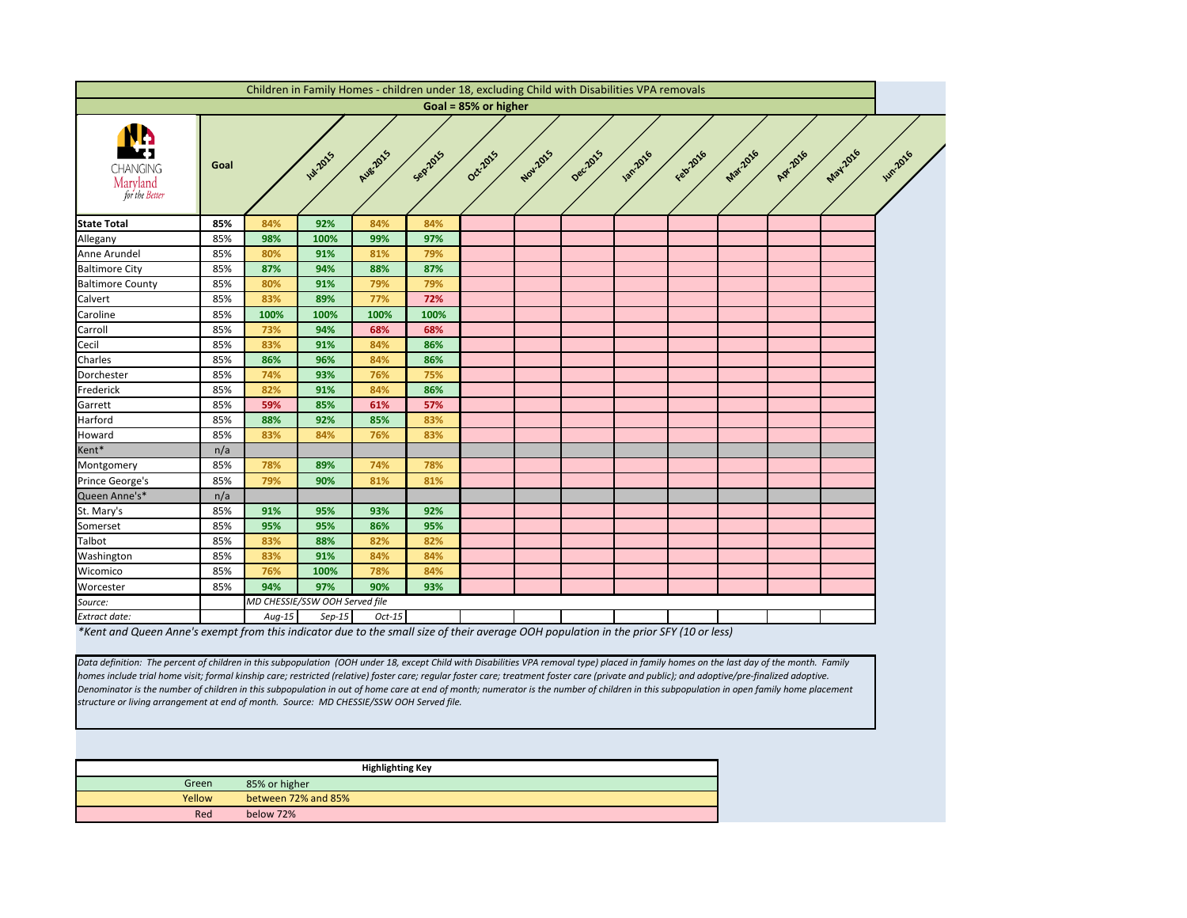<span id="page-6-0"></span>

|                                                                                                                                       |      |          | Children in Family Homes - children under 18, excluding Child with Disabilities VPA removals |                 |         |                      |          |          |                  |          |                 |          |         |                 |
|---------------------------------------------------------------------------------------------------------------------------------------|------|----------|----------------------------------------------------------------------------------------------|-----------------|---------|----------------------|----------|----------|------------------|----------|-----------------|----------|---------|-----------------|
|                                                                                                                                       |      |          |                                                                                              |                 |         | Goal = 85% or higher |          |          |                  |          |                 |          |         |                 |
| уŊ<br><b>CHANGING</b><br>Maryland<br>for the Better                                                                                   | Goal |          | <b>141-2015</b>                                                                              | <b>Aug 2015</b> | Sepzors | Oct-2015             | Nov-2015 | Decilors | <b>1201-2016</b> | Febr2016 | <b>Mar-2016</b> | Apr.2016 | May2016 | <b>Jun 2016</b> |
| <b>State Total</b>                                                                                                                    | 85%  | 84%      | 92%                                                                                          | 84%             | 84%     |                      |          |          |                  |          |                 |          |         |                 |
| Allegany                                                                                                                              | 85%  | 98%      | 100%                                                                                         | 99%             | 97%     |                      |          |          |                  |          |                 |          |         |                 |
| Anne Arundel                                                                                                                          | 85%  | 80%      | 91%                                                                                          | 81%             | 79%     |                      |          |          |                  |          |                 |          |         |                 |
| <b>Baltimore City</b>                                                                                                                 | 85%  | 87%      | 94%                                                                                          | 88%             | 87%     |                      |          |          |                  |          |                 |          |         |                 |
| <b>Baltimore County</b>                                                                                                               | 85%  | 80%      | 91%                                                                                          | 79%             | 79%     |                      |          |          |                  |          |                 |          |         |                 |
| Calvert                                                                                                                               | 85%  | 83%      | 89%                                                                                          | 77%             | 72%     |                      |          |          |                  |          |                 |          |         |                 |
| Caroline                                                                                                                              | 85%  | 100%     | 100%                                                                                         | 100%            | 100%    |                      |          |          |                  |          |                 |          |         |                 |
| Carroll                                                                                                                               | 85%  | 73%      | 94%                                                                                          | 68%             | 68%     |                      |          |          |                  |          |                 |          |         |                 |
| Cecil                                                                                                                                 | 85%  | 83%      | 91%                                                                                          | 84%             | 86%     |                      |          |          |                  |          |                 |          |         |                 |
| Charles                                                                                                                               | 85%  | 86%      | 96%                                                                                          | 84%             | 86%     |                      |          |          |                  |          |                 |          |         |                 |
| Dorchester                                                                                                                            | 85%  | 74%      | 93%                                                                                          | 76%             | 75%     |                      |          |          |                  |          |                 |          |         |                 |
| Frederick                                                                                                                             | 85%  | 82%      | 91%                                                                                          | 84%             | 86%     |                      |          |          |                  |          |                 |          |         |                 |
| Garrett                                                                                                                               | 85%  | 59%      | 85%                                                                                          | 61%             | 57%     |                      |          |          |                  |          |                 |          |         |                 |
| Harford                                                                                                                               | 85%  | 88%      | 92%                                                                                          | 85%             | 83%     |                      |          |          |                  |          |                 |          |         |                 |
| Howard                                                                                                                                | 85%  | 83%      | 84%                                                                                          | 76%             | 83%     |                      |          |          |                  |          |                 |          |         |                 |
| Kent*                                                                                                                                 | n/a  |          |                                                                                              |                 |         |                      |          |          |                  |          |                 |          |         |                 |
| Montgomery                                                                                                                            | 85%  | 78%      | 89%                                                                                          | 74%             | 78%     |                      |          |          |                  |          |                 |          |         |                 |
| Prince George's                                                                                                                       | 85%  | 79%      | 90%                                                                                          | 81%             | 81%     |                      |          |          |                  |          |                 |          |         |                 |
| Queen Anne's*                                                                                                                         | n/a  |          |                                                                                              |                 |         |                      |          |          |                  |          |                 |          |         |                 |
| St. Mary's                                                                                                                            | 85%  | 91%      | 95%                                                                                          | 93%             | 92%     |                      |          |          |                  |          |                 |          |         |                 |
| Somerset                                                                                                                              | 85%  | 95%      | 95%                                                                                          | 86%             | 95%     |                      |          |          |                  |          |                 |          |         |                 |
| <b>Talbot</b>                                                                                                                         | 85%  | 83%      | 88%                                                                                          | 82%             | 82%     |                      |          |          |                  |          |                 |          |         |                 |
| Washington                                                                                                                            | 85%  | 83%      | 91%                                                                                          | 84%             | 84%     |                      |          |          |                  |          |                 |          |         |                 |
| Wicomico                                                                                                                              | 85%  | 76%      | 100%                                                                                         | 78%             | 84%     |                      |          |          |                  |          |                 |          |         |                 |
| Worcester                                                                                                                             | 85%  | 94%      | 97%                                                                                          | 90%             | 93%     |                      |          |          |                  |          |                 |          |         |                 |
| Source:                                                                                                                               |      |          | MD CHESSIE/SSW OOH Served file                                                               |                 |         |                      |          |          |                  |          |                 |          |         |                 |
| Extract date:                                                                                                                         |      | $Aug-15$ | $Sep-15$                                                                                     | $Oct-15$        |         |                      |          |          |                  |          |                 |          |         |                 |
| *Kent and Queen Anne's evempt from this indicator due to the small size of their average OOH population in the prior SEV (10 or less) |      |          |                                                                                              |                 |         |                      |          |          |                  |          |                 |          |         |                 |

*\*Kent and Queen Anne's exempt from this indicator due to the small size of their average OOH population in the prior SFY (10 or less)*

*Data definition: The percent of children in this subpopulation (OOH under 18, except Child with Disabilities VPA removal type) placed in family homes on the last day of the month. Family homes include trial home visit; formal kinship care; restricted (relative) foster care; regular foster care; treatment foster care (private and public); and adoptive/pre-finalized adoptive. Denominator is the number of children in this subpopulation in out of home care at end of month; numerator is the number of children in this subpopulation in open family home placement structure or living arrangement at end of month. Source: MD CHESSIE/SSW OOH Served file.*

|        | <b>Highlighting Key</b> |
|--------|-------------------------|
| Green  | 85% or higher           |
| Yellow | between 72% and 85%     |
| Red    | below 72%               |

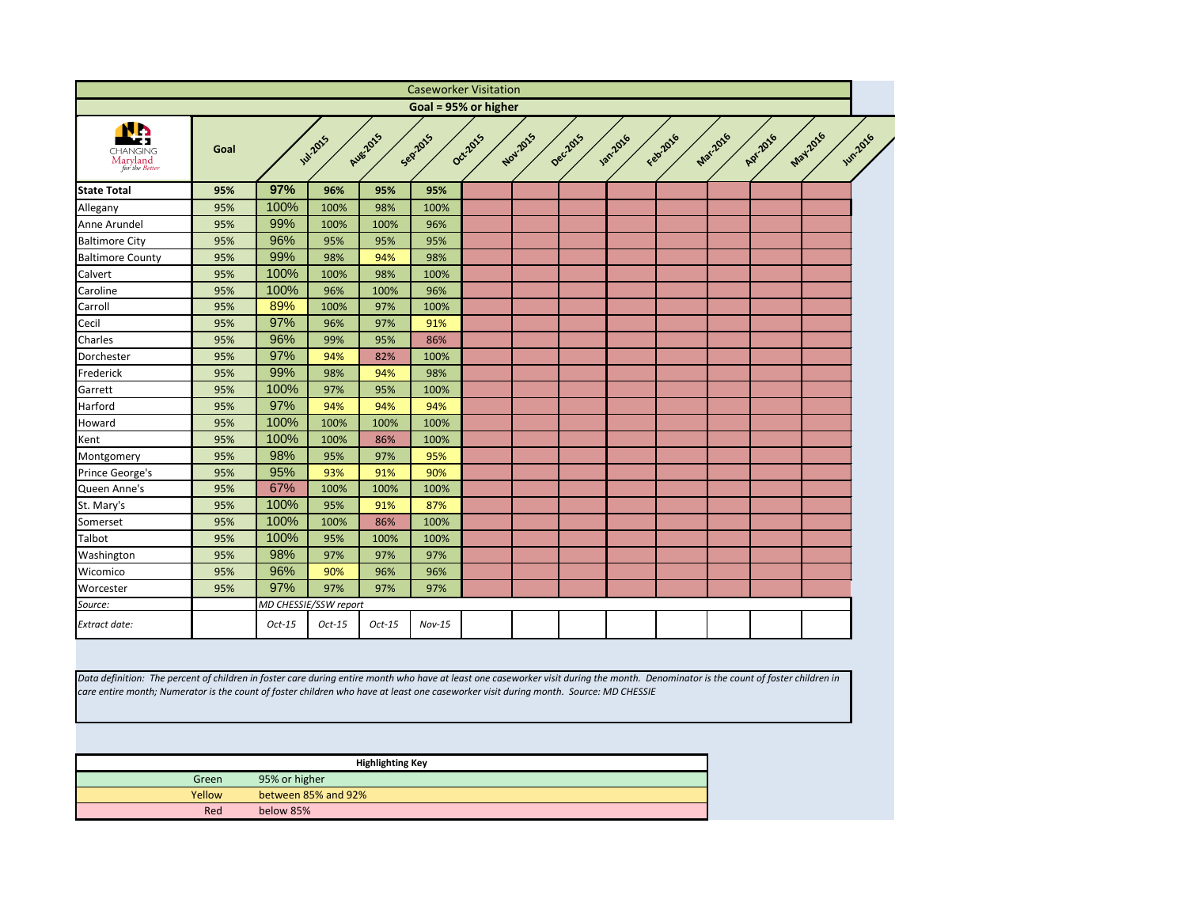<span id="page-7-0"></span>

|                                                                                                                                                                                                                                                                                                                             |        |               |                       |                         | <b>Caseworker Visitation</b> |          |          |          |                 |          |                 |          |         |                 |
|-----------------------------------------------------------------------------------------------------------------------------------------------------------------------------------------------------------------------------------------------------------------------------------------------------------------------------|--------|---------------|-----------------------|-------------------------|------------------------------|----------|----------|----------|-----------------|----------|-----------------|----------|---------|-----------------|
|                                                                                                                                                                                                                                                                                                                             |        |               |                       |                         | Goal = 95% or higher         |          |          |          |                 |          |                 |          |         |                 |
| <b>CHANGING</b><br>Maryland<br>for the Better                                                                                                                                                                                                                                                                               | Goal   |               | <b>Jul-2015</b>       | <b>Aug-2015</b>         | Sepzors                      | Oct-2015 | Nov.2015 | Dec.2015 | <b>Jan-2016</b> | Febricio | <b>Mar.2016</b> | Apr.2016 | May2016 | <b>Jun-2016</b> |
| <b>State Total</b>                                                                                                                                                                                                                                                                                                          | 95%    | 97%           | 96%                   | 95%                     | 95%                          |          |          |          |                 |          |                 |          |         |                 |
| Allegany                                                                                                                                                                                                                                                                                                                    | 95%    | 100%          | 100%                  | 98%                     | 100%                         |          |          |          |                 |          |                 |          |         |                 |
| Anne Arundel                                                                                                                                                                                                                                                                                                                | 95%    | 99%           | 100%                  | 100%                    | 96%                          |          |          |          |                 |          |                 |          |         |                 |
| <b>Baltimore City</b>                                                                                                                                                                                                                                                                                                       | 95%    | 96%           | 95%                   | 95%                     | 95%                          |          |          |          |                 |          |                 |          |         |                 |
| <b>Baltimore County</b>                                                                                                                                                                                                                                                                                                     | 95%    | 99%           | 98%                   | 94%                     | 98%                          |          |          |          |                 |          |                 |          |         |                 |
| Calvert                                                                                                                                                                                                                                                                                                                     | 95%    | 100%          | 100%                  | 98%                     | 100%                         |          |          |          |                 |          |                 |          |         |                 |
| Caroline                                                                                                                                                                                                                                                                                                                    | 95%    | 100%          | 96%                   | 100%                    | 96%                          |          |          |          |                 |          |                 |          |         |                 |
| Carroll                                                                                                                                                                                                                                                                                                                     | 95%    | 89%           | 100%                  | 97%                     | 100%                         |          |          |          |                 |          |                 |          |         |                 |
| Cecil                                                                                                                                                                                                                                                                                                                       | 95%    | 97%           | 96%                   | 97%                     | 91%                          |          |          |          |                 |          |                 |          |         |                 |
| Charles                                                                                                                                                                                                                                                                                                                     | 95%    | 96%           | 99%                   | 95%                     | 86%                          |          |          |          |                 |          |                 |          |         |                 |
| Dorchester                                                                                                                                                                                                                                                                                                                  | 95%    | 97%           | 94%                   | 82%                     | 100%                         |          |          |          |                 |          |                 |          |         |                 |
| Frederick                                                                                                                                                                                                                                                                                                                   | 95%    | 99%           | 98%                   | 94%                     | 98%                          |          |          |          |                 |          |                 |          |         |                 |
| Garrett                                                                                                                                                                                                                                                                                                                     | 95%    | 100%          | 97%                   | 95%                     | 100%                         |          |          |          |                 |          |                 |          |         |                 |
| Harford                                                                                                                                                                                                                                                                                                                     | 95%    | 97%           | 94%                   | 94%                     | 94%                          |          |          |          |                 |          |                 |          |         |                 |
| Howard                                                                                                                                                                                                                                                                                                                      | 95%    | 100%          | 100%                  | 100%                    | 100%                         |          |          |          |                 |          |                 |          |         |                 |
| Kent                                                                                                                                                                                                                                                                                                                        | 95%    | 100%          | 100%                  | 86%                     | 100%                         |          |          |          |                 |          |                 |          |         |                 |
| Montgomery                                                                                                                                                                                                                                                                                                                  | 95%    | 98%           | 95%                   | 97%                     | 95%                          |          |          |          |                 |          |                 |          |         |                 |
| Prince George's                                                                                                                                                                                                                                                                                                             | 95%    | 95%           | 93%                   | 91%                     | 90%                          |          |          |          |                 |          |                 |          |         |                 |
| Queen Anne's                                                                                                                                                                                                                                                                                                                | 95%    | 67%           | 100%                  | 100%                    | 100%                         |          |          |          |                 |          |                 |          |         |                 |
| St. Mary's                                                                                                                                                                                                                                                                                                                  | 95%    | 100%          | 95%                   | 91%                     | 87%                          |          |          |          |                 |          |                 |          |         |                 |
| Somerset                                                                                                                                                                                                                                                                                                                    | 95%    | 100%          | 100%                  | 86%                     | 100%                         |          |          |          |                 |          |                 |          |         |                 |
| Talbot                                                                                                                                                                                                                                                                                                                      | 95%    | 100%          | 95%                   | 100%                    | 100%                         |          |          |          |                 |          |                 |          |         |                 |
| Washington                                                                                                                                                                                                                                                                                                                  | 95%    | 98%           | 97%                   | 97%                     | 97%                          |          |          |          |                 |          |                 |          |         |                 |
| Wicomico                                                                                                                                                                                                                                                                                                                    | 95%    | 96%           | 90%                   | 96%                     | 96%                          |          |          |          |                 |          |                 |          |         |                 |
| Worcester                                                                                                                                                                                                                                                                                                                   | 95%    | 97%           | 97%                   | 97%                     | 97%                          |          |          |          |                 |          |                 |          |         |                 |
| Source:                                                                                                                                                                                                                                                                                                                     |        |               | MD CHESSIE/SSW report |                         |                              |          |          |          |                 |          |                 |          |         |                 |
| Extract date:                                                                                                                                                                                                                                                                                                               |        | $Oct-15$      | $Oct-15$              | $Oct-15$                | $Nov-15$                     |          |          |          |                 |          |                 |          |         |                 |
|                                                                                                                                                                                                                                                                                                                             |        |               |                       |                         |                              |          |          |          |                 |          |                 |          |         |                 |
| Data definition: The percent of children in foster care during entire month who have at least one caseworker visit during the month. Denominator is the count of foster children in<br>care entire month; Numerator is the count of foster children who have at least one caseworker visit during month. Source: MD CHESSIE |        |               |                       |                         |                              |          |          |          |                 |          |                 |          |         |                 |
|                                                                                                                                                                                                                                                                                                                             |        |               |                       | <b>Highlighting Key</b> |                              |          |          |          |                 |          |                 |          |         |                 |
|                                                                                                                                                                                                                                                                                                                             | Green  | 95% or higher |                       |                         |                              |          |          |          |                 |          |                 |          |         |                 |
|                                                                                                                                                                                                                                                                                                                             | Yellow |               | between 85% and 92%   |                         |                              |          |          |          |                 |          |                 |          |         |                 |
|                                                                                                                                                                                                                                                                                                                             | Red    | below 85%     |                       |                         |                              |          |          |          |                 |          |                 |          |         |                 |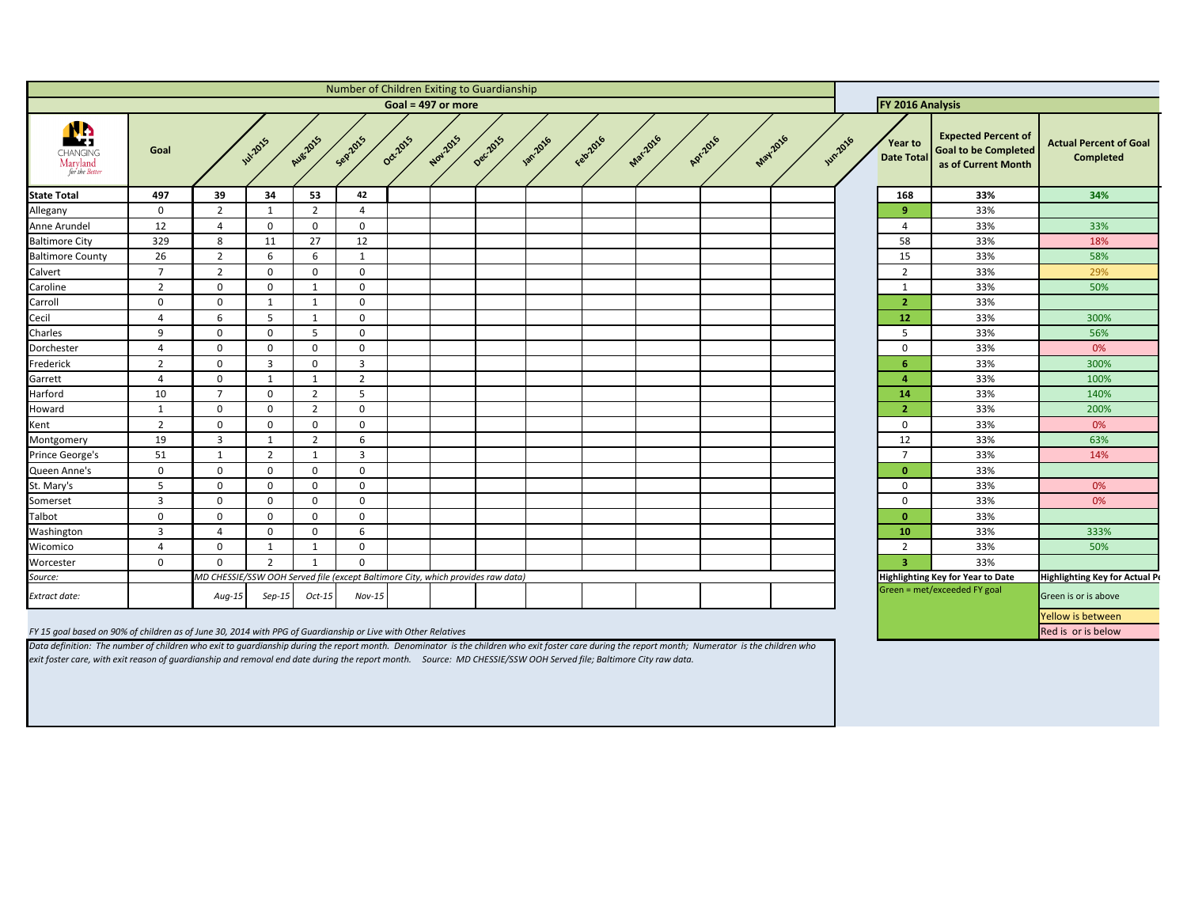<span id="page-8-0"></span>

|                                                                                                               | Number of Children Exiting to Guardianship<br>Goal = $497$ or more |                                                                                 |                |                |                  |          |          |          |                 |           |                 |          |                 |                | FY 2016 Analysis                    |                                                                                  |                                                   |
|---------------------------------------------------------------------------------------------------------------|--------------------------------------------------------------------|---------------------------------------------------------------------------------|----------------|----------------|------------------|----------|----------|----------|-----------------|-----------|-----------------|----------|-----------------|----------------|-------------------------------------|----------------------------------------------------------------------------------|---------------------------------------------------|
| CHANGING<br>Maryland<br>for the Better                                                                        | Goal                                                               |                                                                                 | <b>W.2015</b>  | Aug. 2015      | Sep2015          | Oct-2015 | Nov.2015 | Dec.2015 | <b>187.2016</b> | Februarie | <b>Mar-2016</b> | Apr.2016 | <b>May-2016</b> | <b>Wh.2016</b> | <b>Year to</b><br><b>Date Total</b> | <b>Expected Percent of</b><br><b>Goal to be Completed</b><br>as of Current Month | <b>Actual Percent of Goal</b><br><b>Completed</b> |
| <b>State Total</b>                                                                                            | 497                                                                | 39                                                                              | 34             | 53             | 42               |          |          |          |                 |           |                 |          |                 |                | 168                                 | 33%                                                                              | 34%                                               |
| Allegany                                                                                                      | $\overline{0}$                                                     | $\overline{2}$                                                                  |                | $\overline{2}$ | 4                |          |          |          |                 |           |                 |          |                 |                | 9                                   | 33%                                                                              |                                                   |
| Anne Arundel                                                                                                  | 12                                                                 | 4                                                                               | $\Omega$       | $\Omega$       | $\overline{0}$   |          |          |          |                 |           |                 |          |                 |                | Δ                                   | 33%                                                                              | 33%                                               |
| <b>Baltimore City</b>                                                                                         | 329                                                                | 8                                                                               | 11             | 27             | 12               |          |          |          |                 |           |                 |          |                 |                | 58                                  | 33%                                                                              | 18%                                               |
| <b>Baltimore County</b>                                                                                       | 26                                                                 | $\overline{2}$                                                                  | 6              | -6             | -1               |          |          |          |                 |           |                 |          |                 |                | 15                                  | 33%                                                                              | 58%                                               |
| Calvert                                                                                                       | $\overline{7}$                                                     | $\overline{2}$                                                                  | 0              | $\Omega$       | $\mathbf 0$      |          |          |          |                 |           |                 |          |                 |                | $\overline{2}$                      | 33%                                                                              | 29%                                               |
| Caroline                                                                                                      | $\overline{2}$                                                     | 0                                                                               | 0              | - 1            | $\overline{0}$   |          |          |          |                 |           |                 |          |                 |                |                                     | 33%                                                                              | 50%                                               |
| Carroll                                                                                                       | $\mathbf 0$                                                        | $\Omega$                                                                        | - 1            | 1              | $\mathbf 0$      |          |          |          |                 |           |                 |          |                 |                | 2                                   | 33%                                                                              |                                                   |
| Cecil                                                                                                         | 4                                                                  | 6                                                                               | 5              | -1             | $\overline{0}$   |          |          |          |                 |           |                 |          |                 |                | 12                                  | 33%                                                                              | 300%                                              |
| Charles                                                                                                       | $\mathbf{q}$                                                       | $\Omega$                                                                        | $\Omega$       | -5             | $\overline{0}$   |          |          |          |                 |           |                 |          |                 |                | .5                                  | 33%                                                                              | 56%                                               |
| Dorchester                                                                                                    | $\overline{a}$                                                     | 0                                                                               | ∩              | $\Omega$       | $\mathbf 0$      |          |          |          |                 |           |                 |          |                 |                | $\mathbf{0}$                        | 33%                                                                              | 0%                                                |
| Frederick                                                                                                     | $\overline{2}$                                                     | $\Omega$                                                                        | -3             | $\Omega$       | $\overline{3}$   |          |          |          |                 |           |                 |          |                 |                |                                     | 33%                                                                              | 300%                                              |
| Garrett                                                                                                       | $\overline{4}$                                                     | $\Omega$                                                                        |                | 1              | $\overline{2}$   |          |          |          |                 |           |                 |          |                 |                |                                     | 33%                                                                              | 100%                                              |
| Harford                                                                                                       | 10                                                                 | $\overline{7}$                                                                  | 0              | $\overline{2}$ | 5                |          |          |          |                 |           |                 |          |                 |                | 14                                  | 33%                                                                              | 140%                                              |
| Howard                                                                                                        | -1                                                                 | $\Omega$                                                                        | $\Omega$       | $\overline{2}$ | $\overline{0}$   |          |          |          |                 |           |                 |          |                 |                | $\overline{2}$                      | 33%                                                                              | 200%                                              |
| Kent                                                                                                          | $\overline{2}$                                                     | $\Omega$                                                                        | 0              | $\Omega$       | $\overline{0}$   |          |          |          |                 |           |                 |          |                 |                | $\mathbf 0$                         | 33%                                                                              | 0%                                                |
| Montgomery                                                                                                    | 19                                                                 | 3                                                                               |                | $\overline{2}$ | -6               |          |          |          |                 |           |                 |          |                 |                | 12                                  | 33%                                                                              | 63%                                               |
| Prince George's                                                                                               | 51                                                                 | $\mathbf 1$                                                                     | -2             | - 1            | $\overline{3}$   |          |          |          |                 |           |                 |          |                 |                |                                     | 33%                                                                              | 14%                                               |
| Queen Anne's                                                                                                  | $\mathbf 0$                                                        | 0                                                                               | 0              | $\Omega$       | $\overline{0}$   |          |          |          |                 |           |                 |          |                 |                | $\Omega$                            | 33%                                                                              |                                                   |
| St. Mary's                                                                                                    | -5                                                                 | 0                                                                               | 0              | $\mathbf 0$    | $\mathbf 0$      |          |          |          |                 |           |                 |          |                 |                | $\mathbf{0}$                        | 33%                                                                              | 0%                                                |
| Somerset                                                                                                      | 3                                                                  | 0                                                                               | 0              | $\Omega$       | $\mathbf 0$      |          |          |          |                 |           |                 |          |                 |                | $\Omega$                            | 33%                                                                              | 0%                                                |
| Talbot                                                                                                        | $\mathbf 0$                                                        | 0                                                                               | 0              | $\Omega$       | $\boldsymbol{0}$ |          |          |          |                 |           |                 |          |                 |                | $\Omega$                            | 33%                                                                              |                                                   |
| Washington                                                                                                    | $\overline{3}$                                                     | 4                                                                               | 0              | $\Omega$       | 6                |          |          |          |                 |           |                 |          |                 |                | <b>10</b>                           | 33%                                                                              | 333%                                              |
| Wicomico                                                                                                      | $\boldsymbol{\Lambda}$                                             | $\Omega$                                                                        |                |                | $\Omega$         |          |          |          |                 |           |                 |          |                 |                | $\overline{2}$                      | 33%                                                                              | 50%                                               |
| Worcester                                                                                                     | $\mathbf 0$                                                        | $\mathbf 0$                                                                     | $\overline{2}$ |                | $\overline{0}$   |          |          |          |                 |           |                 |          |                 |                | 3 <sup>1</sup>                      | 33%                                                                              |                                                   |
| Source:                                                                                                       |                                                                    | MD CHESSIE/SSW OOH Served file (except Baltimore City, which provides raw data) |                |                |                  |          |          |          |                 |           |                 |          |                 |                |                                     | <b>Highlighting Key for Year to Date</b>                                         | <b>Highlighting Key for Actual Pe</b>             |
| Extract date:                                                                                                 |                                                                    | $Aug-15$                                                                        | $Sep-15$       | Oct-15         | $Nov-15$         |          |          |          |                 |           |                 |          |                 |                |                                     | Green = met/exceeded FY goal                                                     | Green is or is above                              |
|                                                                                                               |                                                                    |                                                                                 |                |                |                  |          |          |          |                 |           |                 |          |                 |                |                                     |                                                                                  | Yellow is between                                 |
| FY 15 goal based on 90% of children as of June 30, 2014 with PPG of Guardianship or Live with Other Relatives |                                                                    |                                                                                 |                |                |                  |          |          |          |                 |           |                 |          |                 |                |                                     |                                                                                  | Red is or is below                                |

*Data definition: The number of children who exit to guardianship during the report month. Denominator is the children who exit foster care during the report month; Numerator is the children who exit foster care, with exit reason of guardianship and removal end date during the report month. Source: MD CHESSIE/SSW OOH Served file; Baltimore City raw data.*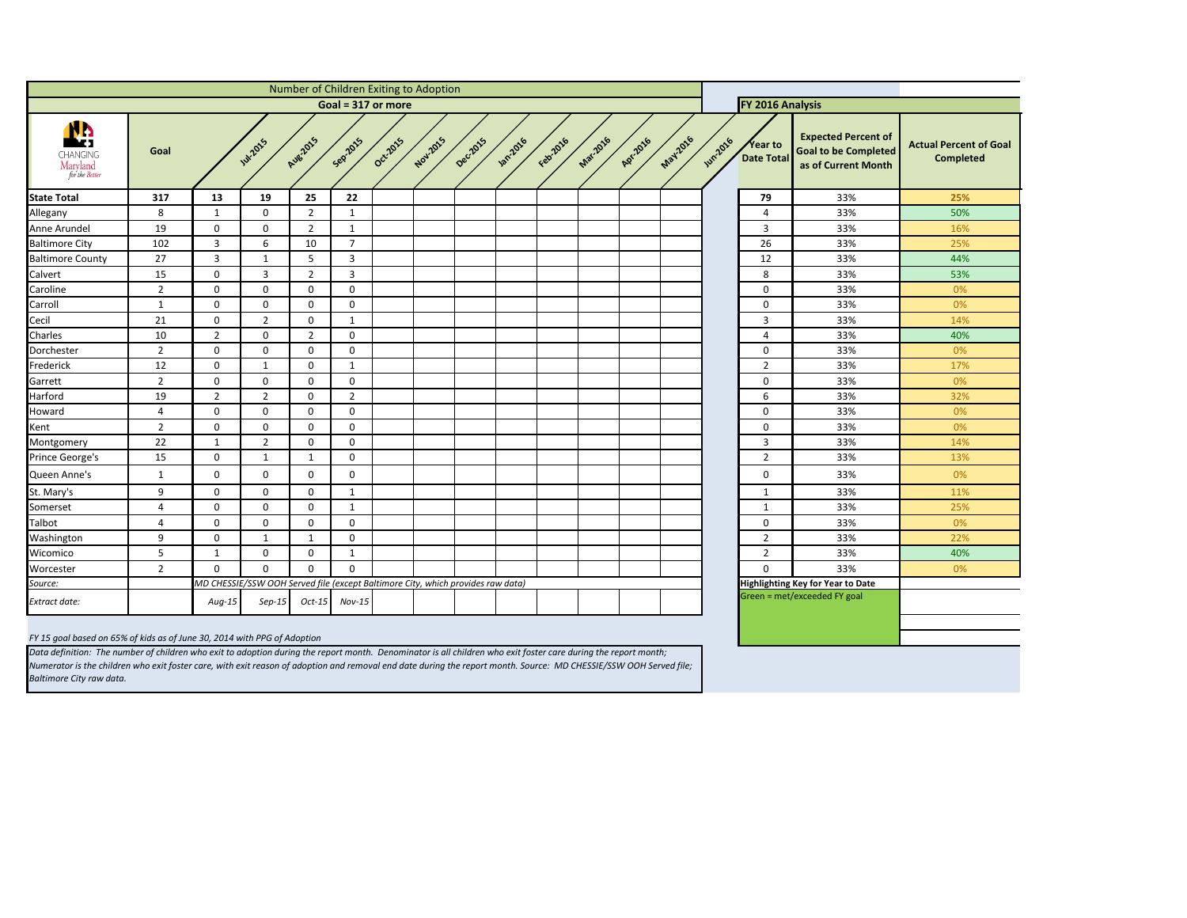| f<br>ed.<br>h | <b>Actual Percent of Goal</b><br><b>Completed</b> |
|---------------|---------------------------------------------------|
|               | 25%                                               |
|               | 50%                                               |
|               | 16%                                               |
|               | 25%                                               |
|               | 44%                                               |
|               | 53%                                               |
|               | 0%                                                |
|               | 0%                                                |
|               | 14%                                               |
|               | 40%                                               |
|               | 0%                                                |
|               | 17%                                               |
|               | 0%                                                |
|               | 32%                                               |
|               | 0%                                                |
|               | 0%                                                |
|               | 14%                                               |
|               | 13%                                               |
|               | 0%                                                |
|               | 11%                                               |
|               | 25%                                               |
|               | 0%                                                |
|               | 22%                                               |
|               | 40%                                               |
|               | 0%                                                |
|               |                                                   |
|               |                                                   |
|               |                                                   |
|               |                                                   |
|               |                                                   |

<span id="page-9-0"></span>

|                                              |                    |                |                                                                                 |                 |                |          | Number of Children Exiting to Adoption |          |                 |          |                 |          |          |                |                              |                                                                                  |                                |
|----------------------------------------------|--------------------|----------------|---------------------------------------------------------------------------------|-----------------|----------------|----------|----------------------------------------|----------|-----------------|----------|-----------------|----------|----------|----------------|------------------------------|----------------------------------------------------------------------------------|--------------------------------|
|                                              | Goal = 317 or more |                |                                                                                 |                 |                |          |                                        |          |                 |          |                 |          |          |                | FY 2016 Analysis             |                                                                                  |                                |
| N.<br>CHANGING<br>Maryland<br>for the Better | Goal               |                | <b>1</b> 2015                                                                   | <b>Aug-2015</b> | Seprats        | Oct-2015 | Nov.2015                               | Decilors | <b>18822016</b> | Febr2016 | <b>Mar.2016</b> | Apr.2016 | May-2016 | <b>JUN2016</b> | Year to<br><b>Date Total</b> | <b>Expected Percent of</b><br><b>Goal to be Completed</b><br>as of Current Month | <b>Actual Percer</b><br>Comple |
| <b>State Total</b>                           | 317                | 13             | 19                                                                              | 25              | 22             |          |                                        |          |                 |          |                 |          |          |                | 79                           | 33%                                                                              | 25%                            |
| Allegany                                     | 8                  | $\mathbf{1}$   | $\mathbf 0$                                                                     | $\overline{2}$  | $\mathbf{1}$   |          |                                        |          |                 |          |                 |          |          |                | $\overline{a}$               | 33%                                                                              | 50%                            |
| Anne Arundel                                 | 19                 | $\mathbf 0$    | $\mathbf 0$                                                                     | $\overline{2}$  | $\mathbf{1}$   |          |                                        |          |                 |          |                 |          |          |                | $\overline{3}$               | 33%                                                                              | 16%                            |
| <b>Baltimore City</b>                        | 102                | 3              | 6                                                                               | 10              | $\overline{7}$ |          |                                        |          |                 |          |                 |          |          |                | 26                           | 33%                                                                              | 25%                            |
| <b>Baltimore County</b>                      | 27                 | 3              | $\mathbf{1}$                                                                    | 5               | 3              |          |                                        |          |                 |          |                 |          |          |                | 12                           | 33%                                                                              | 44%                            |
| Calvert                                      | 15                 | $\mathbf 0$    | $\mathbf{3}$                                                                    | $\overline{2}$  | 3              |          |                                        |          |                 |          |                 |          |          |                | 8                            | 33%                                                                              | 53%                            |
| Caroline                                     | $\overline{2}$     | $\mathbf 0$    | $\mathbf 0$                                                                     | $\mathbf 0$     | $\mathbf 0$    |          |                                        |          |                 |          |                 |          |          |                | $\mathbf 0$                  | 33%                                                                              | 0%                             |
| Carroll                                      | $\mathbf{1}$       | $\mathbf 0$    | $\mathbf 0$                                                                     | $\mathbf 0$     | $\mathbf 0$    |          |                                        |          |                 |          |                 |          |          |                | $\mathbf 0$                  | 33%                                                                              | 0%                             |
| Cecil                                        | 21                 | $\mathbf 0$    | $\overline{2}$                                                                  | 0               | 1              |          |                                        |          |                 |          |                 |          |          |                | $\overline{3}$               | 33%                                                                              | 14%                            |
| Charles                                      | 10                 | $2^{\circ}$    | $\mathbf 0$                                                                     | $\overline{2}$  | $\mathbf 0$    |          |                                        |          |                 |          |                 |          |          |                | $\overline{4}$               | 33%                                                                              | 40%                            |
| Dorchester                                   | $\overline{2}$     | $\mathbf 0$    | $\mathbf 0$                                                                     | $\mathbf 0$     | $\mathbf{0}$   |          |                                        |          |                 |          |                 |          |          |                | $\mathbf 0$                  | 33%                                                                              | 0%                             |
| Frederick                                    | 12                 | $\mathbf 0$    | $\mathbf{1}$                                                                    | $\mathbf 0$     | $\mathbf{1}$   |          |                                        |          |                 |          |                 |          |          |                | $\overline{2}$               | 33%                                                                              | 17%                            |
| Garrett                                      | $\overline{2}$     | $\mathbf 0$    | $\mathbf 0$                                                                     | $\mathbf 0$     | $\mathbf 0$    |          |                                        |          |                 |          |                 |          |          |                | $\mathbf 0$                  | 33%                                                                              | 0%                             |
| Harford                                      | 19                 | $\overline{2}$ | $\overline{2}$                                                                  | $\mathbf 0$     | $\overline{2}$ |          |                                        |          |                 |          |                 |          |          |                | 6                            | 33%                                                                              | 32%                            |
| Howard                                       | $\overline{4}$     | $\mathbf 0$    | $\mathbf 0$                                                                     | $\mathbf 0$     | $\mathbf 0$    |          |                                        |          |                 |          |                 |          |          |                | $\mathbf 0$                  | 33%                                                                              | 0%                             |
| Kent                                         | $\overline{2}$     | $\mathbf 0$    | $\mathbf 0$                                                                     | $\mathbf 0$     | $\mathbf 0$    |          |                                        |          |                 |          |                 |          |          |                | $\mathbf 0$                  | 33%                                                                              | 0%                             |
| Montgomery                                   | 22                 | $\mathbf{1}$   | $\overline{2}$                                                                  | $\mathbf 0$     | $\mathbf 0$    |          |                                        |          |                 |          |                 |          |          |                | $\overline{3}$               | 33%                                                                              | 14%                            |
| Prince George's                              | 15                 | $\mathbf 0$    | $\mathbf{1}$                                                                    | 1               | $\mathbf 0$    |          |                                        |          |                 |          |                 |          |          |                | $\overline{2}$               | 33%                                                                              | 13%                            |
| Queen Anne's                                 | $\mathbf{1}$       | 0              | $\mathbf 0$                                                                     | 0               | $\mathbf 0$    |          |                                        |          |                 |          |                 |          |          |                | $\mathbf 0$                  | 33%                                                                              | 0%                             |
| St. Mary's                                   | 9                  | $\mathbf 0$    | $\mathbf 0$                                                                     | $\mathbf 0$     | 1              |          |                                        |          |                 |          |                 |          |          |                | $\mathbf{1}$                 | 33%                                                                              | 11%                            |
| Somerset                                     | 4                  | $\mathbf 0$    | $\mathbf 0$                                                                     | 0               | 1              |          |                                        |          |                 |          |                 |          |          |                | $\mathbf{1}$                 | 33%                                                                              | 25%                            |
| Talbot                                       | 4                  | $\mathbf{0}$   | $\Omega$                                                                        | $\mathbf 0$     | $\overline{0}$ |          |                                        |          |                 |          |                 |          |          |                | $\boldsymbol{0}$             | 33%                                                                              | 0%                             |
| Washington                                   | 9                  | $\mathbf 0$    | $\mathbf{1}$                                                                    | $\mathbf{1}$    | $\mathbf 0$    |          |                                        |          |                 |          |                 |          |          |                | $\overline{2}$               | 33%                                                                              | 22%                            |
| Wicomico                                     | 5                  | $\mathbf{1}$   | $\mathbf 0$                                                                     | $\mathbf 0$     | $\mathbf{1}$   |          |                                        |          |                 |          |                 |          |          |                | $\overline{2}$               | 33%                                                                              | 40%                            |
| Worcester                                    | $\overline{2}$     | $\mathbf 0$    | $\mathbf 0$                                                                     | $\mathbf 0$     | $\mathbf 0$    |          |                                        |          |                 |          |                 |          |          |                | $\mathbf 0$                  | 33%                                                                              | 0%                             |
| Source:                                      |                    |                | MD CHESSIE/SSW OOH Served file (except Baltimore City, which provides raw data) |                 |                |          |                                        |          |                 |          |                 |          |          |                |                              | Highlighting Key for Year to Date                                                |                                |
| <b>Extract date:</b>                         |                    | $Aug-15$       | $Sep-15$                                                                        | $Oct-15$        | $Nov-15$       |          |                                        |          |                 |          |                 |          |          |                |                              | Green = met/exceeded FY goal                                                     |                                |

*FY 15 goal based on 65% of kids as of June 30, 2014 with PPG of Adoption*

*Data definition: The number of children who exit to adoption during the report month. Denominator is all children who exit foster care during the report month; Numerator is the children who exit foster care, with exit reason of adoption and removal end date during the report month. Source: MD CHESSIE/SSW OOH Served file; Baltimore City raw data.*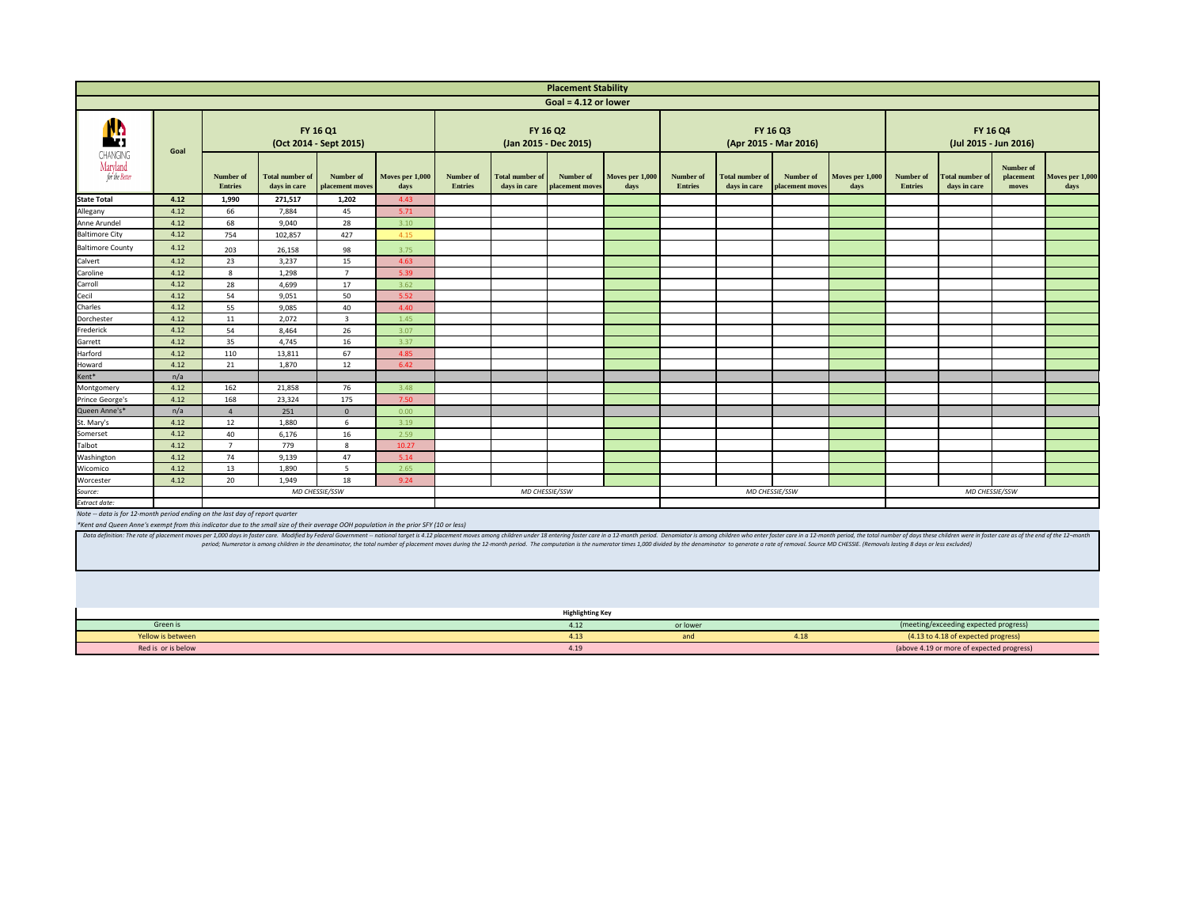<span id="page-10-0"></span>

|                                                                                                                                                                                                                                |      |                                    |                                        |                                                                                                                                                                                                                                |                         |                             |                                 | <b>Placement Stability</b>               |                         |                                    |                                        |                                   |                         |                                          |                                        |                                 |                       |
|--------------------------------------------------------------------------------------------------------------------------------------------------------------------------------------------------------------------------------|------|------------------------------------|----------------------------------------|--------------------------------------------------------------------------------------------------------------------------------------------------------------------------------------------------------------------------------|-------------------------|-----------------------------|---------------------------------|------------------------------------------|-------------------------|------------------------------------|----------------------------------------|-----------------------------------|-------------------------|------------------------------------------|----------------------------------------|---------------------------------|-----------------------|
|                                                                                                                                                                                                                                |      |                                    |                                        |                                                                                                                                                                                                                                |                         |                             |                                 | Goal = $4.12$ or lower                   |                         |                                    |                                        |                                   |                         |                                          |                                        |                                 |                       |
| N.<br>CHANGING<br>Maryland<br>for the Better                                                                                                                                                                                   | Goal |                                    |                                        | <b>FY 16 Q1</b><br>(Oct 2014 - Sept 2015)                                                                                                                                                                                      |                         |                             |                                 | <b>FY 16 Q2</b><br>(Jan 2015 - Dec 2015) |                         |                                    |                                        | FY 16 Q3<br>(Apr 2015 - Mar 2016) |                         | <b>FY 16 Q4</b><br>(Jul 2015 - Jun 2016) |                                        |                                 |                       |
|                                                                                                                                                                                                                                |      | <b>Number of</b><br><b>Entries</b> | <b>Total number of</b><br>days in care | Number of<br>placement moves                                                                                                                                                                                                   | Moves per 1,000<br>days | Number of<br><b>Entries</b> | Total number of<br>days in care | Number of<br><b>placement moves</b>      | Moves per 1,000<br>days | <b>Number of</b><br><b>Entries</b> | <b>Total number of</b><br>days in care | Number of<br>placement moves      | Moves per 1,000<br>days | <b>Number of</b><br><b>Entries</b>       | <b>Total number of</b><br>days in care | Number of<br>placement<br>moves | Moves per 1,0<br>days |
| <b>State Total</b>                                                                                                                                                                                                             | 4.12 | 1,990                              | 271,517                                | 1,202                                                                                                                                                                                                                          | 4.43                    |                             |                                 |                                          |                         |                                    |                                        |                                   |                         |                                          |                                        |                                 |                       |
| Allegany                                                                                                                                                                                                                       | 4.12 | 66                                 | 7,884                                  | 45                                                                                                                                                                                                                             | 5.71                    |                             |                                 |                                          |                         |                                    |                                        |                                   |                         |                                          |                                        |                                 |                       |
| Anne Arundel                                                                                                                                                                                                                   | 4.12 | 68                                 | 9,040                                  | 28                                                                                                                                                                                                                             | 3.10                    |                             |                                 |                                          |                         |                                    |                                        |                                   |                         |                                          |                                        |                                 |                       |
| <b>Baltimore City</b>                                                                                                                                                                                                          | 4.12 | 754                                | 102,857                                | 427                                                                                                                                                                                                                            | 4.15                    |                             |                                 |                                          |                         |                                    |                                        |                                   |                         |                                          |                                        |                                 |                       |
| <b>Baltimore County</b>                                                                                                                                                                                                        | 4.12 | 203                                | 26,158                                 | 98                                                                                                                                                                                                                             | 3.75                    |                             |                                 |                                          |                         |                                    |                                        |                                   |                         |                                          |                                        |                                 |                       |
| Calvert                                                                                                                                                                                                                        | 4.12 | 23                                 | 3,237                                  | 15                                                                                                                                                                                                                             | 4.63                    |                             |                                 |                                          |                         |                                    |                                        |                                   |                         |                                          |                                        |                                 |                       |
| Caroline                                                                                                                                                                                                                       | 4.12 | 8                                  | 1,298                                  | $\overline{7}$                                                                                                                                                                                                                 | 5.39                    |                             |                                 |                                          |                         |                                    |                                        |                                   |                         |                                          |                                        |                                 |                       |
| Carroll                                                                                                                                                                                                                        | 4.12 | 28                                 | 4,699                                  | 17                                                                                                                                                                                                                             | 3.62                    |                             |                                 |                                          |                         |                                    |                                        |                                   |                         |                                          |                                        |                                 |                       |
| Cecil                                                                                                                                                                                                                          | 4.12 | 54                                 | 9,051                                  | 50                                                                                                                                                                                                                             | 5.52                    |                             |                                 |                                          |                         |                                    |                                        |                                   |                         |                                          |                                        |                                 |                       |
| Charles                                                                                                                                                                                                                        | 4.12 | 55                                 | 9,085                                  | 40                                                                                                                                                                                                                             | 4.40                    |                             |                                 |                                          |                         |                                    |                                        |                                   |                         |                                          |                                        |                                 |                       |
| Dorchester                                                                                                                                                                                                                     | 4.12 | 11                                 | 2,072                                  | 3                                                                                                                                                                                                                              | 1.45                    |                             |                                 |                                          |                         |                                    |                                        |                                   |                         |                                          |                                        |                                 |                       |
| Frederick                                                                                                                                                                                                                      | 4.12 | 54                                 | 8,464                                  | 26                                                                                                                                                                                                                             | 3.07                    |                             |                                 |                                          |                         |                                    |                                        |                                   |                         |                                          |                                        |                                 |                       |
| Garrett                                                                                                                                                                                                                        | 4.12 | 35                                 | 4,745                                  | 16                                                                                                                                                                                                                             | 3.37                    |                             |                                 |                                          |                         |                                    |                                        |                                   |                         |                                          |                                        |                                 |                       |
| Harford                                                                                                                                                                                                                        | 4.12 | 110                                | 13,811                                 | 67                                                                                                                                                                                                                             | 4.85                    |                             |                                 |                                          |                         |                                    |                                        |                                   |                         |                                          |                                        |                                 |                       |
| Howard                                                                                                                                                                                                                         | 4.12 | 21                                 | 1,870                                  | 12                                                                                                                                                                                                                             | 6.42                    |                             |                                 |                                          |                         |                                    |                                        |                                   |                         |                                          |                                        |                                 |                       |
| Kent*                                                                                                                                                                                                                          | n/a  |                                    |                                        |                                                                                                                                                                                                                                |                         |                             |                                 |                                          |                         |                                    |                                        |                                   |                         |                                          |                                        |                                 |                       |
| Montgomery                                                                                                                                                                                                                     | 4.12 | 162                                | 21,858                                 | 76                                                                                                                                                                                                                             | 3.48                    |                             |                                 |                                          |                         |                                    |                                        |                                   |                         |                                          |                                        |                                 |                       |
| Prince George's                                                                                                                                                                                                                | 4.12 | 168                                | 23,324                                 | 175                                                                                                                                                                                                                            | 7.50                    |                             |                                 |                                          |                         |                                    |                                        |                                   |                         |                                          |                                        |                                 |                       |
| Queen Anne's*                                                                                                                                                                                                                  | n/a  |                                    | 251                                    | $\Omega$                                                                                                                                                                                                                       | 0.00                    |                             |                                 |                                          |                         |                                    |                                        |                                   |                         |                                          |                                        |                                 |                       |
| St. Mary's                                                                                                                                                                                                                     | 4.12 | 12                                 | 1,880                                  |                                                                                                                                                                                                                                | 3.19                    |                             |                                 |                                          |                         |                                    |                                        |                                   |                         |                                          |                                        |                                 |                       |
| Somerset                                                                                                                                                                                                                       | 4.12 | 40                                 | 6,176                                  | 16                                                                                                                                                                                                                             | 2.59                    |                             |                                 |                                          |                         |                                    |                                        |                                   |                         |                                          |                                        |                                 |                       |
| Talbot                                                                                                                                                                                                                         | 4.12 | $\overline{7}$                     | 779                                    | 8                                                                                                                                                                                                                              | 10.27                   |                             |                                 |                                          |                         |                                    |                                        |                                   |                         |                                          |                                        |                                 |                       |
| Washington                                                                                                                                                                                                                     | 4.12 | 74                                 | 9,139                                  | 47                                                                                                                                                                                                                             | 5.14                    |                             |                                 |                                          |                         |                                    |                                        |                                   |                         |                                          |                                        |                                 |                       |
| Wicomico                                                                                                                                                                                                                       | 4.12 | 13                                 | 1,890                                  | 5                                                                                                                                                                                                                              | 2.65                    |                             |                                 |                                          |                         |                                    |                                        |                                   |                         |                                          |                                        |                                 |                       |
| Worcester                                                                                                                                                                                                                      | 4.12 | 20                                 | 1,949                                  | 18                                                                                                                                                                                                                             | 9.24                    |                             |                                 |                                          |                         |                                    |                                        |                                   |                         |                                          |                                        |                                 |                       |
| Source:                                                                                                                                                                                                                        |      |                                    |                                        | MD CHESSIE/SSW                                                                                                                                                                                                                 |                         |                             |                                 | MD CHESSIE/SSW                           |                         |                                    |                                        | MD CHESSIE/SSW                    |                         |                                          | MD CHESSIE/SSW                         |                                 |                       |
| Extract date:                                                                                                                                                                                                                  |      |                                    |                                        |                                                                                                                                                                                                                                |                         |                             |                                 |                                          |                         |                                    |                                        |                                   |                         |                                          |                                        |                                 |                       |
| Note -- data is for 12-month period ending on the last day of report quarter                                                                                                                                                   |      |                                    |                                        |                                                                                                                                                                                                                                |                         |                             |                                 |                                          |                         |                                    |                                        |                                   |                         |                                          |                                        |                                 |                       |
| *Kent and Queen Anne's exempt from this indicator due to the small size of their average OOH population in the prior SFY (10 or less)                                                                                          |      |                                    |                                        |                                                                                                                                                                                                                                |                         |                             |                                 |                                          |                         |                                    |                                        |                                   |                         |                                          |                                        |                                 |                       |
| Data definition: The rate of placement moves per 1,000 days in foster care. Modified by Federal Government -- national target is 4.12 placement moves among children under 18 entering foster care in a 12-month period. Denom |      |                                    |                                        | period; Numerator is among children in the denominator, the total number of placement moves during the 12-month period. The computation is the numerator times 1,000 divided by the denominator to generate a rate of removal. |                         |                             |                                 |                                          |                         |                                    |                                        |                                   |                         |                                          |                                        |                                 |                       |

|                        | ment Stability          |                                    |                                        |                                   |                                                                                                                                                                                                        |                                          |                                                                                  |                                 |                         |  |  |  |
|------------------------|-------------------------|------------------------------------|----------------------------------------|-----------------------------------|--------------------------------------------------------------------------------------------------------------------------------------------------------------------------------------------------------|------------------------------------------|----------------------------------------------------------------------------------|---------------------------------|-------------------------|--|--|--|
| = 4.12 or lower        |                         |                                    |                                        |                                   |                                                                                                                                                                                                        |                                          |                                                                                  |                                 |                         |  |  |  |
| 2015)                  |                         |                                    |                                        | FY 16 Q3<br>(Apr 2015 - Mar 2016) |                                                                                                                                                                                                        | <b>FY 16 Q4</b><br>(Jul 2015 - Jun 2016) |                                                                                  |                                 |                         |  |  |  |
| mber of<br>nent moves  | Moves per 1,000<br>days | <b>Number of</b><br><b>Entries</b> | <b>Total number of</b><br>days in care | Number of<br>placement moves      | Moves per 1,000<br>days                                                                                                                                                                                | Number of<br><b>Entries</b>              | <b>Total number of</b><br>days in care                                           | Number of<br>placement<br>moves | Moves per 1,000<br>days |  |  |  |
|                        |                         |                                    |                                        |                                   |                                                                                                                                                                                                        |                                          |                                                                                  |                                 |                         |  |  |  |
|                        |                         |                                    |                                        |                                   |                                                                                                                                                                                                        |                                          |                                                                                  |                                 |                         |  |  |  |
|                        |                         |                                    |                                        |                                   |                                                                                                                                                                                                        |                                          |                                                                                  |                                 |                         |  |  |  |
|                        |                         |                                    |                                        |                                   |                                                                                                                                                                                                        |                                          |                                                                                  |                                 |                         |  |  |  |
|                        |                         |                                    |                                        |                                   |                                                                                                                                                                                                        |                                          |                                                                                  |                                 |                         |  |  |  |
|                        |                         |                                    |                                        |                                   |                                                                                                                                                                                                        |                                          |                                                                                  |                                 |                         |  |  |  |
|                        |                         |                                    |                                        |                                   |                                                                                                                                                                                                        |                                          |                                                                                  |                                 |                         |  |  |  |
|                        |                         |                                    |                                        |                                   |                                                                                                                                                                                                        |                                          |                                                                                  |                                 |                         |  |  |  |
|                        |                         |                                    |                                        |                                   |                                                                                                                                                                                                        |                                          |                                                                                  |                                 |                         |  |  |  |
|                        |                         |                                    |                                        |                                   |                                                                                                                                                                                                        |                                          |                                                                                  |                                 |                         |  |  |  |
|                        |                         |                                    |                                        |                                   |                                                                                                                                                                                                        |                                          |                                                                                  |                                 |                         |  |  |  |
|                        |                         |                                    |                                        |                                   |                                                                                                                                                                                                        |                                          |                                                                                  |                                 |                         |  |  |  |
|                        |                         |                                    |                                        |                                   |                                                                                                                                                                                                        |                                          |                                                                                  |                                 |                         |  |  |  |
|                        |                         |                                    |                                        |                                   |                                                                                                                                                                                                        |                                          |                                                                                  |                                 |                         |  |  |  |
|                        |                         |                                    |                                        |                                   |                                                                                                                                                                                                        |                                          |                                                                                  |                                 |                         |  |  |  |
|                        |                         |                                    |                                        |                                   |                                                                                                                                                                                                        |                                          |                                                                                  |                                 |                         |  |  |  |
|                        |                         |                                    |                                        |                                   |                                                                                                                                                                                                        |                                          |                                                                                  |                                 |                         |  |  |  |
|                        |                         |                                    |                                        |                                   |                                                                                                                                                                                                        |                                          |                                                                                  |                                 |                         |  |  |  |
|                        |                         |                                    |                                        |                                   |                                                                                                                                                                                                        |                                          |                                                                                  |                                 |                         |  |  |  |
|                        |                         |                                    |                                        |                                   |                                                                                                                                                                                                        |                                          |                                                                                  |                                 |                         |  |  |  |
|                        |                         |                                    |                                        |                                   |                                                                                                                                                                                                        |                                          |                                                                                  |                                 |                         |  |  |  |
|                        |                         |                                    |                                        |                                   |                                                                                                                                                                                                        |                                          |                                                                                  |                                 |                         |  |  |  |
|                        |                         |                                    |                                        |                                   |                                                                                                                                                                                                        |                                          |                                                                                  |                                 |                         |  |  |  |
|                        |                         |                                    |                                        |                                   |                                                                                                                                                                                                        |                                          |                                                                                  |                                 |                         |  |  |  |
| $\checkmark$           |                         |                                    | MD CHESSIE/SSW                         |                                   |                                                                                                                                                                                                        |                                          | MD CHESSIE/SSW                                                                   |                                 |                         |  |  |  |
|                        |                         |                                    |                                        |                                   |                                                                                                                                                                                                        |                                          |                                                                                  |                                 |                         |  |  |  |
|                        |                         |                                    |                                        |                                   | y foster care in a 12-month period. Denomiator is among children who enter foster care in a 12-month period, the total number of days these children were in foster care as of the end of the 12¬month |                                          |                                                                                  |                                 |                         |  |  |  |
|                        |                         |                                    |                                        |                                   | on is the numerator times 1,000 divided by the denominator to generate a rate of removal. Source MD CHESSIE. (Removals lasting 8 days or less excluded)                                                |                                          |                                                                                  |                                 |                         |  |  |  |
|                        |                         |                                    |                                        |                                   |                                                                                                                                                                                                        |                                          |                                                                                  |                                 |                         |  |  |  |
|                        |                         |                                    |                                        |                                   |                                                                                                                                                                                                        |                                          |                                                                                  |                                 |                         |  |  |  |
| ghlighting Key<br>4.12 |                         | or lower                           |                                        |                                   |                                                                                                                                                                                                        |                                          | (meeting/exceeding expected progress)                                            |                                 |                         |  |  |  |
| 4.13                   |                         | and                                |                                        | 4.18                              |                                                                                                                                                                                                        |                                          |                                                                                  |                                 |                         |  |  |  |
| 4.19                   |                         |                                    |                                        |                                   |                                                                                                                                                                                                        |                                          | (4.13 to 4.18 of expected progress)<br>(above 4.19 or more of expected progress) |                                 |                         |  |  |  |
|                        |                         |                                    |                                        |                                   |                                                                                                                                                                                                        |                                          |                                                                                  |                                 |                         |  |  |  |

|                    | <b>Highlighting Key</b> |          |      |                                         |
|--------------------|-------------------------|----------|------|-----------------------------------------|
| Green is           | T.L4                    | or lower |      | (meeting/exceeding expected progress)   |
| Yellow is between  | 4. LJ                   |          | 4.18 | (4.13 to 4.18 of expected progress)     |
| Red is or is below | +.⊥J                    |          |      | (above 4.19 or more of expected progres |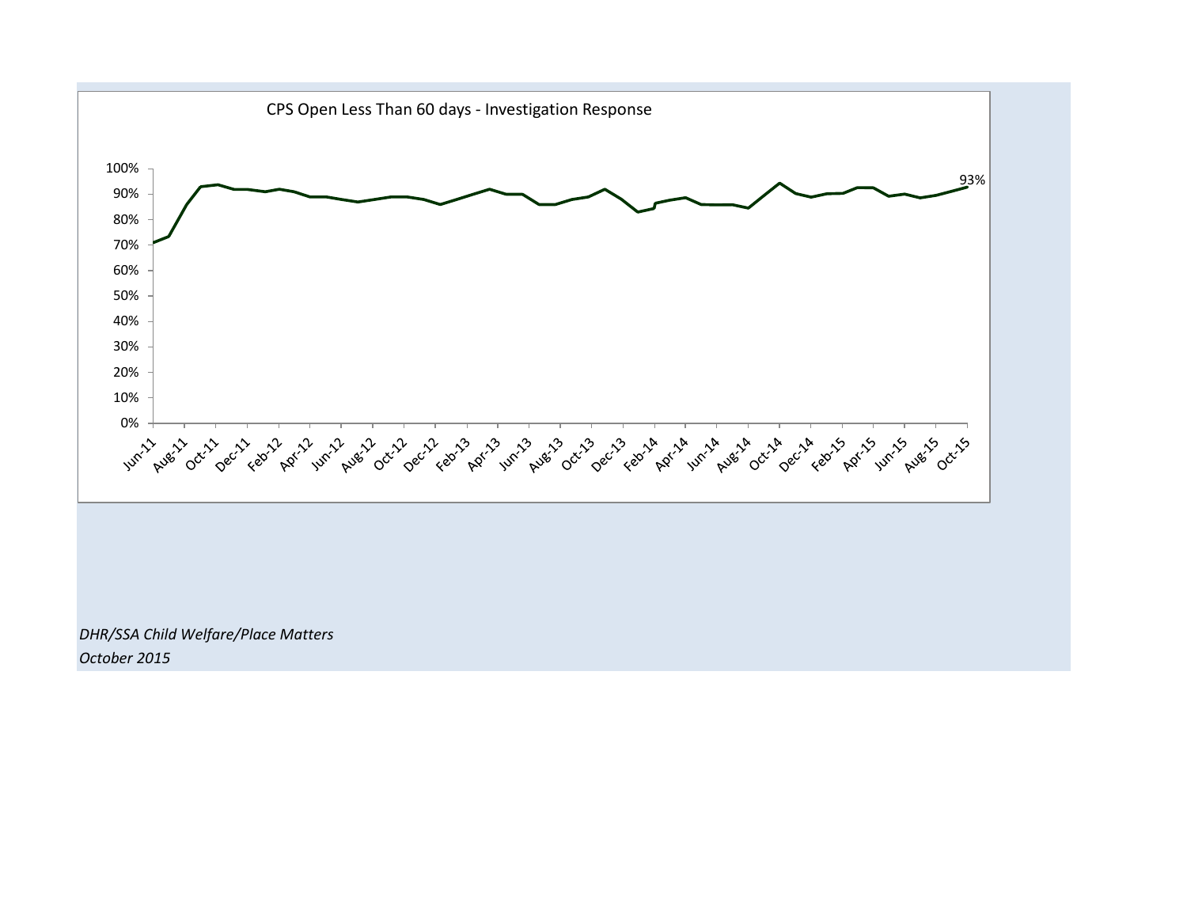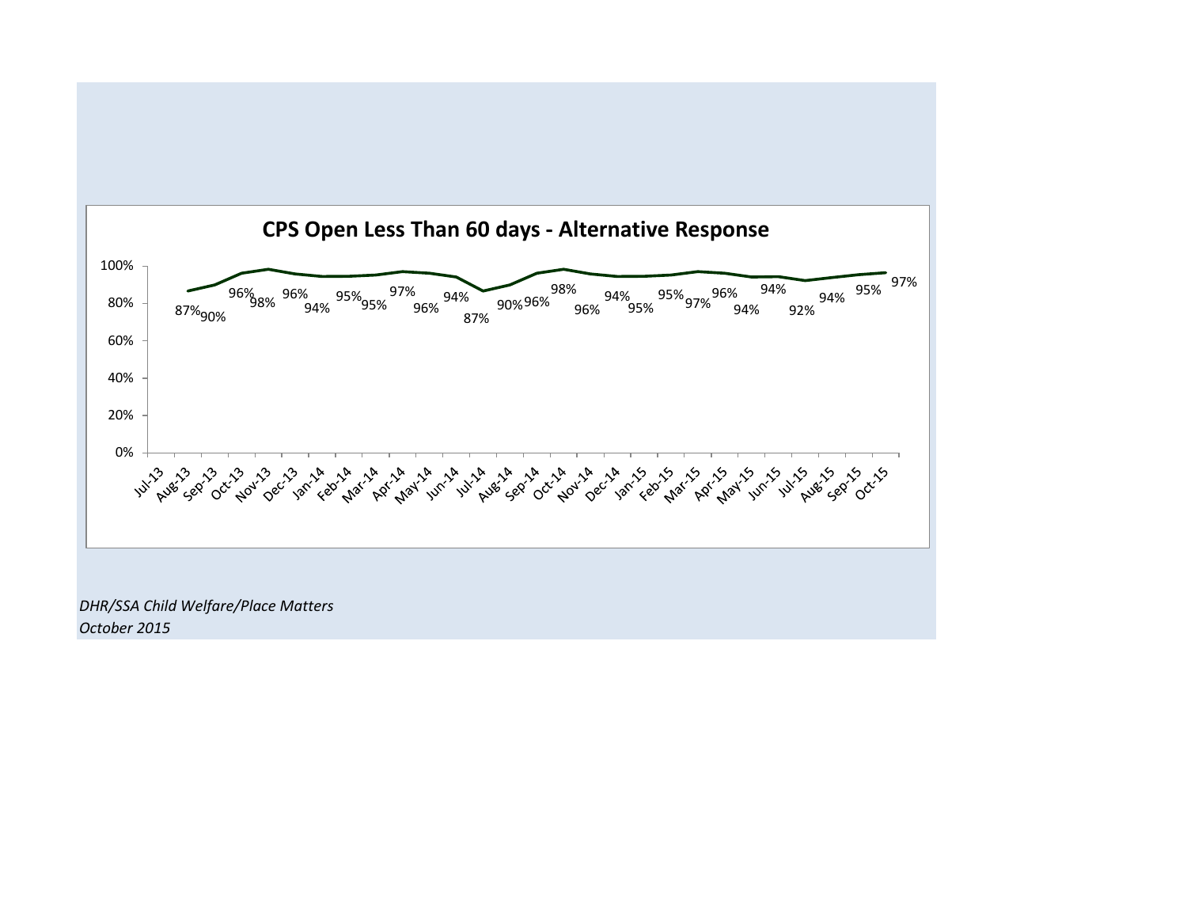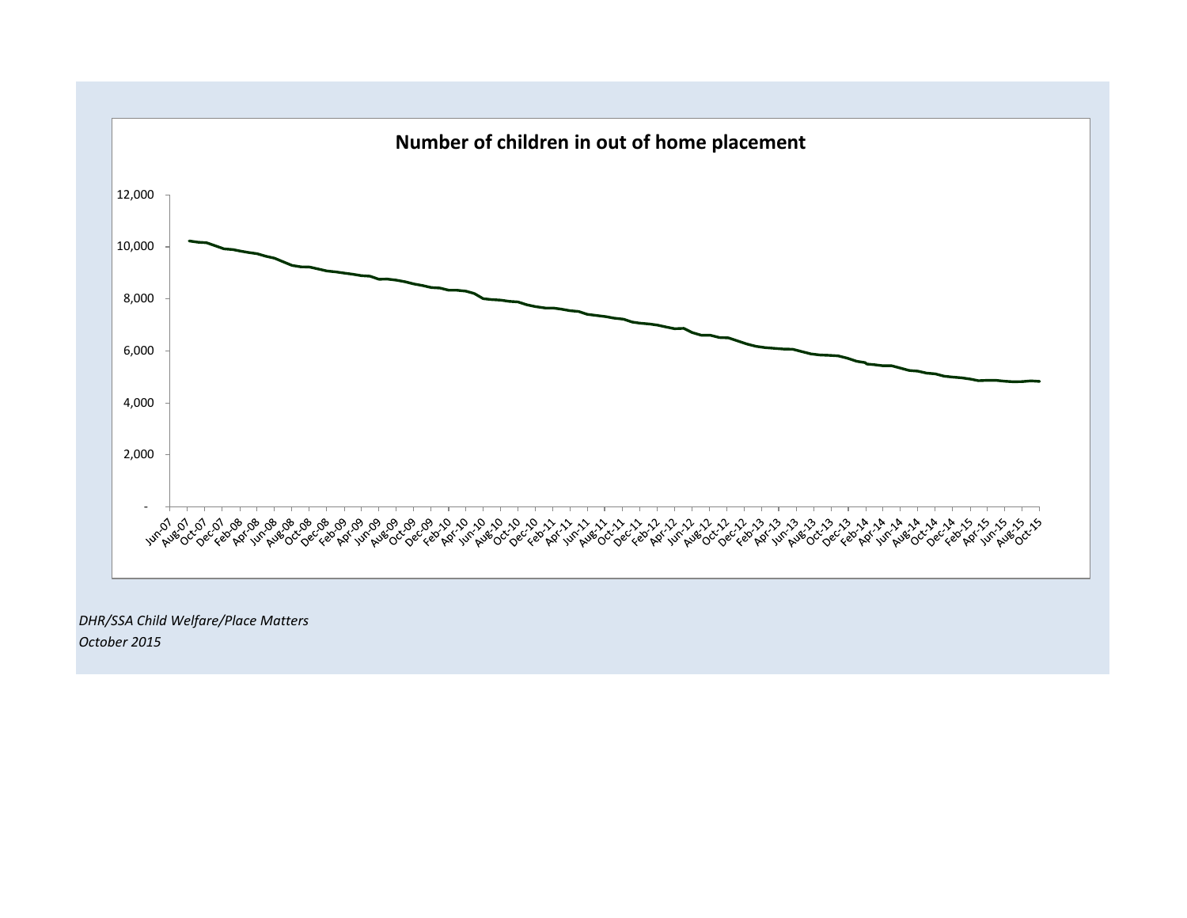

*October 2015*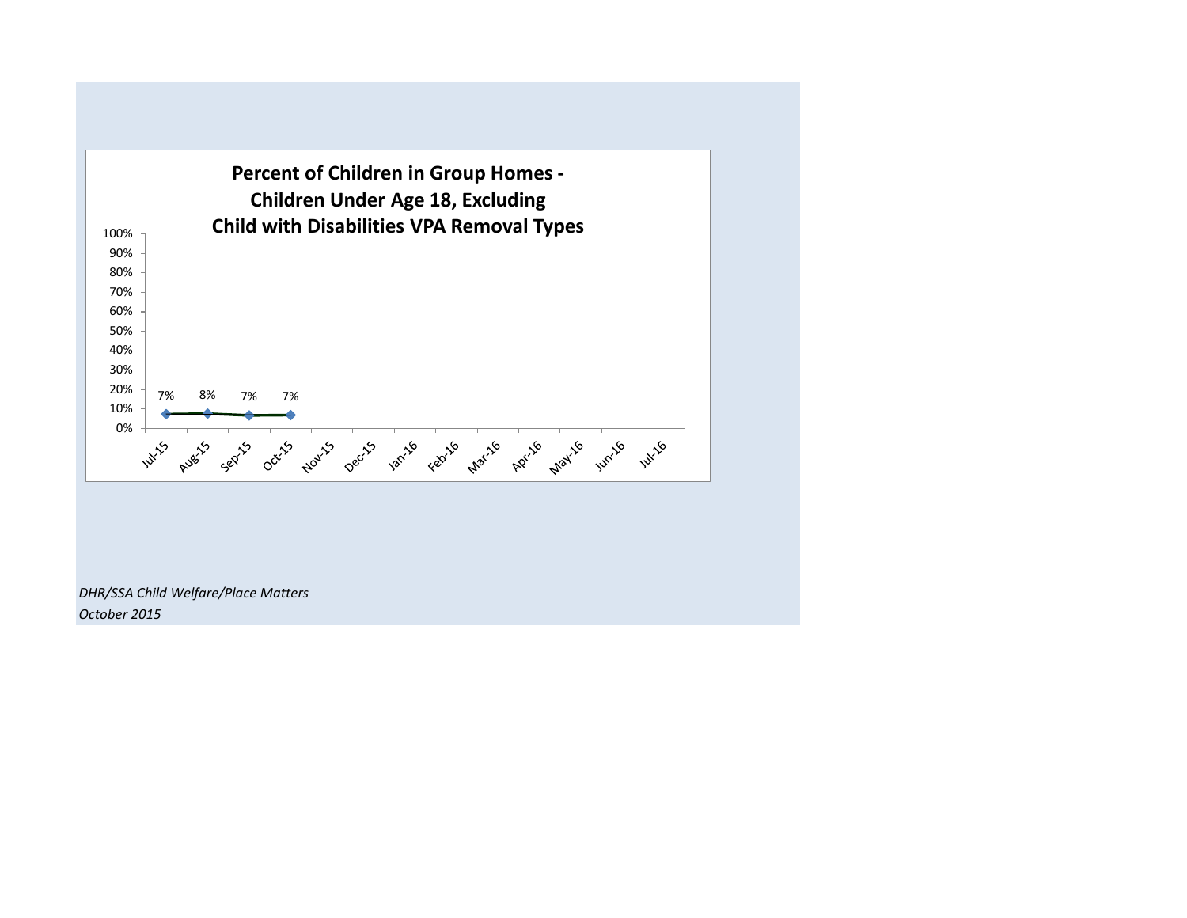

*DHR/SSA Child Welfare/Place Matters October 2015*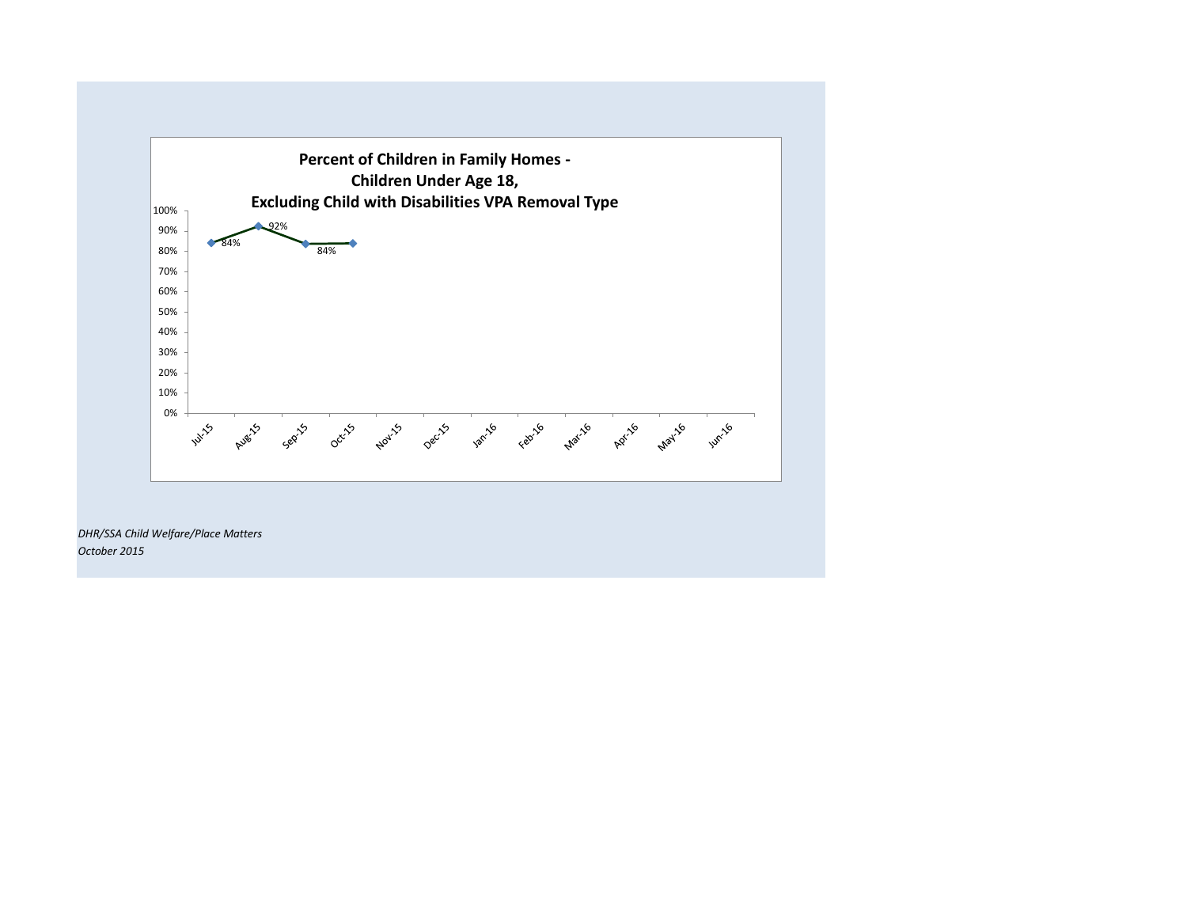

*DHR/SSA Child Welfare/Place Matters October 2015*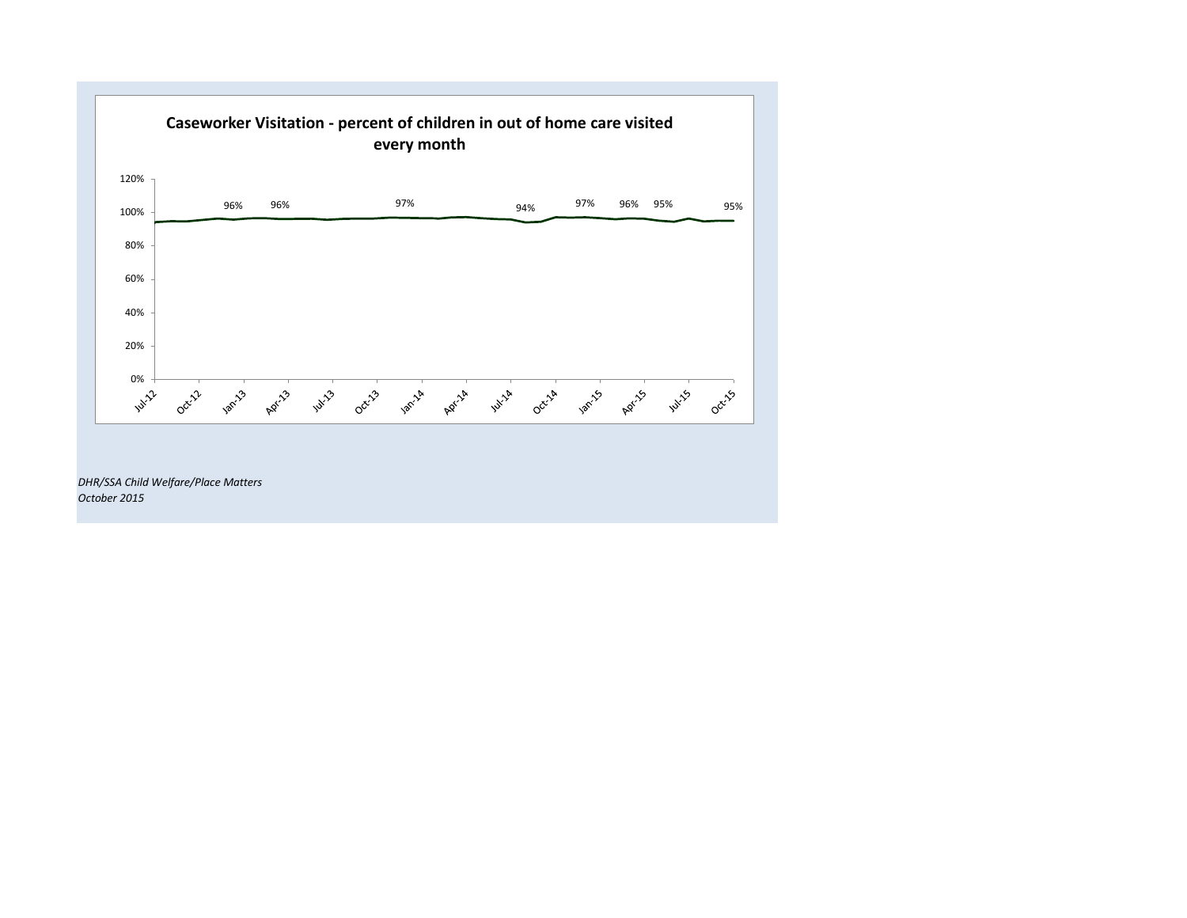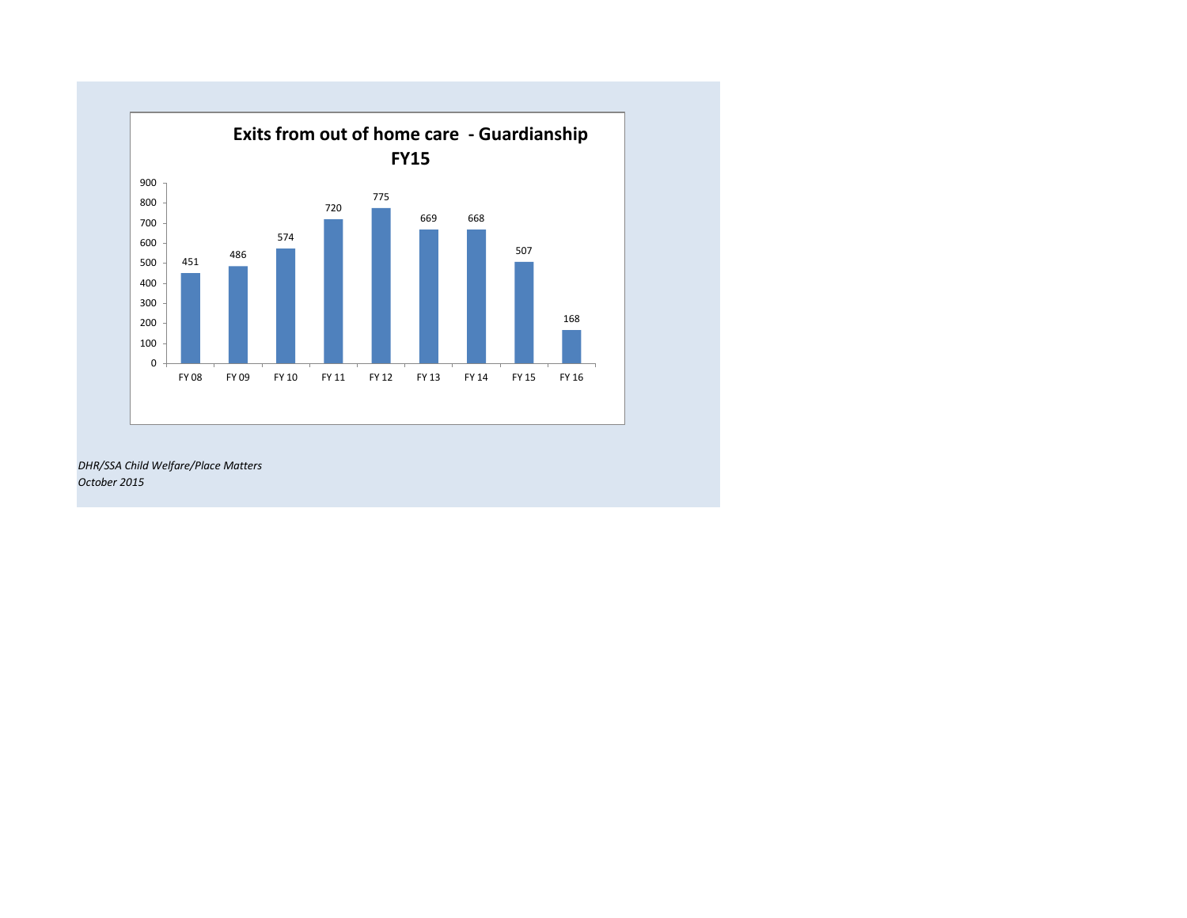

*DHR/SSA Child Welfare/Place Matters October 2015*